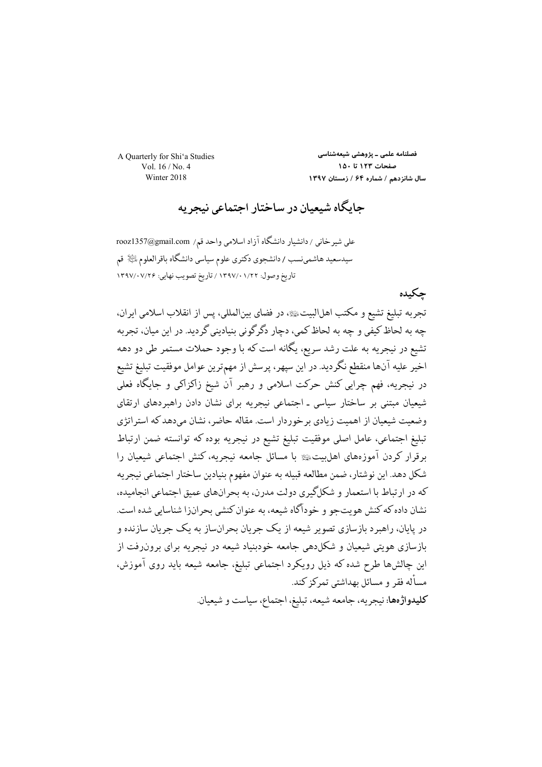A Quarterly for Shi'a Studies Vol.  $16/N_0$  4 Winter 2018

فصلنامه علمی ـ پژوهشی شیعهشناسی صفحات ١٢٣ تا ١٥٠ سال شانزدهم / شماره ۶۴ / زمستان ۱۳۹۷

جایگاه شیعیان در ساختار اجتماعی نیجریه

على شيرخاني / دانشيار دانشگاه آزاد اسلامي واحد قم/ rooz1357@gmail.com سیدسعید هاشمینسب / دانشجوی دکتری علوم سیاسی دانشگاه باقرالعلوم لِلَیْلا قم تاريخ وصول: ١/٢٢ ١/١٣٩٧ / تاريخ تصويب نهايي: ١٣٩٧/٠٧/٢۶

### جكىدە

تجربه تبليغ تشيع و مكتب اهلالبيت یی در فضاي بينالمللي، پس از انقلاب اسلامي ايران، چه به لحاظ کيفي و چه به لحاظ کمي، دچار دگر گوني بنياديني گرديد. در اين ميان، تحريه تشيع در نيجريه به علت رشد سريع، يگانه است كه با وجود حملات مستمر طي دو دهه اخير عليه آنها منقطع نگرديد. در اين سپهر، پرسش از مهمترين عوامل موفقيت تبليغ تشيع در نیجریه، فهم چرابی کنش حرکت اسلامی و رهبر آن شیخ زاکزاکی و جایگاه فعلی شیعیان مبتنی بر ساختار سیاسی ـ اجتماعی نیجریه برای نشان دادن راهبردهای ارتقای وضعیت شیعیان از اهمیت زیادی بر خوردار است. مقاله حاضر ، نشان میدهد که استر اتژی تبليغ اجتماعي، عامل اصلي موفقيت تبليغ تشيع در نيجريه بوده كه توانسته ضمن ارتباط برقرار کردن آموزههای اهل بیتﷺ با مسائل جامعه نیجریه، کنش اجتماعی شیعیان را شكل دهد. اين نوشتار، ضمن مطالعه قبيله به عنوان مفهوم بنيادين ساختار اجتماعي نيجريه که در ارتباط با استعمار و شکلگیری دولت مدرن، به بحرانهای عمیق احتماعی انجامیده، نشان داده که کنش هو پتحو و خودآگاه شیعه، به عنوان کنشی بحران(ا شناسایی شده است. در پایان، راهبر د باز سازی تصویر شیعه از یک جریان بحرانِساز به یک جریان سازنده و بازسازی هویتی شیعیان و شکل(هی جامعه خودبنیاد شیعه در نیجریه برای برون(فت از این چالشها طرح شده که ذیل رویکرد اجتماعی تبلیغ، جامعه شیعه باید روی آموزش، مسأله فقر و مسائل بهداشتی تمرکز کند.

كليدواژهها: نيجريه، جامعه شيعه، تبليغ، اجتماع، سياست و شيعيان.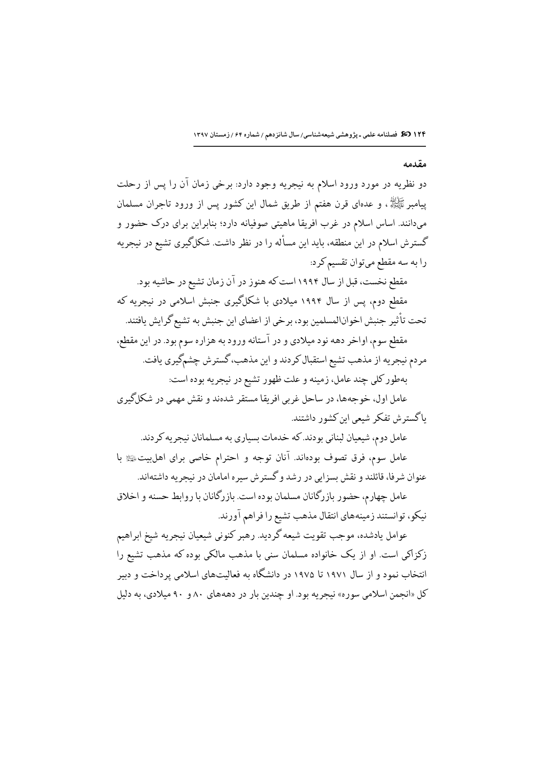#### مقدمه

دو نظریه در مورد ورود اسلام به نیجریه وجود دارد: برخی زمان آن را پس از رحلت پیامبر ﷺ، و عدهای قرن هفتم از طریق شمال این کشور پس از ورود تاجران مسلمان میدانند. اساس اسلام در غرب افریقا ماهیتی صوفیانه دارد؛ بنابراین برای درک حضور و گسترش اسلام در این منطقه، باید این مسأله را در نظر داشت. شکلگیری تشیع در نیجریه را به سه مقطع میتوان تقسیم کرد:

مقطع نخست، قبل از سال ۱۹۹۴ است که هنوز در آن زمان تشیع در حاشیه بود. مقطع دوم، پس از سال ۱۹۹۴ میلادی با شکلگیری جنبش اسلامی در نیجریه که تحت تأثير جنبش اخوانالمسلمين بود، برخي از اعضاي اين جنبش به تشيع گرايش يافتند. مقطع سوم، اواخر دهه نود میلادی و در آستانه ورود به هزاره سوم بود. در این مقطع، مردم نيجريه از مذهب تشيع استقبال كردند و اين مذهب، گسترش چشمگيري يافت.

بهطور كلي چند عامل، زمينه و علت ظهور تشيع در نيجريه بوده است:

عامل اول، خوجهها، در ساحل غربي افريقا مستقر شدهند و نقش مهمي در شكلگيري .<br>ماگستر ش تفکر شیعی این کشور داشتند.

عامل دوم، شیعیان لبنانی بودند. که خدمات بسیاری به مسلمانان نیجریه کردند. عامل سوم، فرق تصوف بودهاند. آنان توجه و احترام خاصی برای اهلبیت، ای با عنوان شرفا، قائلند و نقش بسزایی در رشد و گستر ش سیره امامان در نیجر به داشتهاند.

عامل چهارم، حضور بازرگانان مسلمان بوده است. بازرگانان با روابط حسنه و اخلاق نیکو، توانستند زمینههای انتقال مذهب تشیع را فراهم آورند.

عوامل يادشده، موجب تقويت شيعه گرديد. رهبر كنوني شيعيان نيجريه شيخ ابراهيم زکزاکی است. او از یک خانواده مسلمان سنی با مذهب مالکی بوده که مذهب تشیع را انتخاب نمود و از سال ۱۹۷۱ تا ۱۹۷۵ در دانشگاه به فعالیتهای اسلامی پرداخت و دبیر کل «انجمن اسلامی سوره» نیجریه بود. او چندین بار در دهههای ۸۰ و ۹۰ میلادی، به دلیل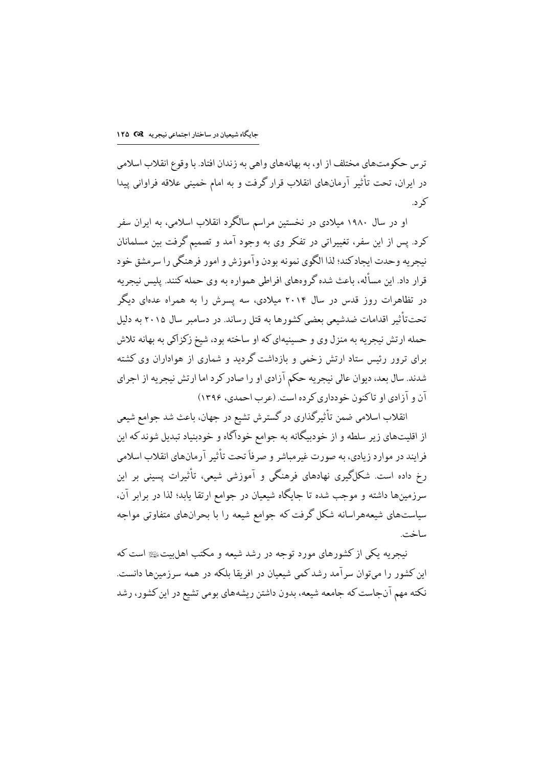تر س حکومتهای مختلف از او، به بهانههای واهی به زندان افتاد. با وقوع انقلاب اسلامی در ایران، تحت تأثیر آرمانهای انقلاب قرار گرفت و به امام خمینی علاقه فراوانی پیدا کر د.

او در سال ۱۹۸۰ میلادی در نخستین مراسم سالگرد انقلاب اسلامی، به ایران سفر کرد. پس از این سفر، تغییراتی در تفکر وی به وجود آمد و تصمیم گرفت بین مسلمانان نيجريه وحدت ايجادكند؛ لذا الگوى نمونه بودن وآموزش و امور فرهنگي را سرمشق خود قرار داد. این مسأله، باعث شده گروههای افراطی همواره به وی حمله کنند. پلیس نیجریه در تظاهرات روز قدس در سال ۲۰۱۴ میلادی، سه پسرش را به همراه عدهای دیگر تحت تأثیر اقدامات ضدشیعی بعضی کشورها به قتل رساند. در دسامبر سال ۲۰۱۵ به دلیل حمله ارتش نیجریه به منزل وی و حسینیهای که او ساخته بود، شیخ زکز اکی به بهانه تلاش برای ترور رئیس ستاد ارتش زخمی و بازداشت گردید و شماری از هواداران وی کشته شدند. سال بعد، دیوان عالی نیجریه حکم آزادی او را صادر کرد اما ارتش نیجریه از اجرای آن و آزادي او تاكنون خودداري كرده است. (عرب احمدي، ۱۳۹۶)

انقلاب اسلامی ضمن تأثیرگذاری در گسترش تشیع در جهان، باعث شد جوامع شیعی از اقلیتهای زیر سلطه و از خودبیگانه به جوامع خودآگاه و خودبنیاد تبدیل شوندکه این .<br>فرایند در موارد زیادی، به صورت غیرمیاشر و صرفاً تحت تأثیر آرمانهای انقلاب اسلامی رخ داده است. شکلگیری نهادهای فرهنگی و آموزشی شیعی، تأثیرات پسینی بر این سرزمینها داشته و موجب شده تا جایگاه شیعیان در جوامع ارتقا یابد؛ لذا در برابر آن، سیاستهای شیعههراسانه شکل گرفت که جوامع شیعه را با بحرانهای متفاوتی مواجه ساخت.

نیجریه یکی از کشورهای مورد توجه در رشد شیعه و مکتب اهل ستﷺ است که این کشور را میتوان سرآمد رشد کمی شیعیان در افریقا بلکه در همه سرزمینها دانست. نکته مهم آنجاست که جامعه شیعه، بدون داشتن ریشههای بومی تشیع در این کشور، رشد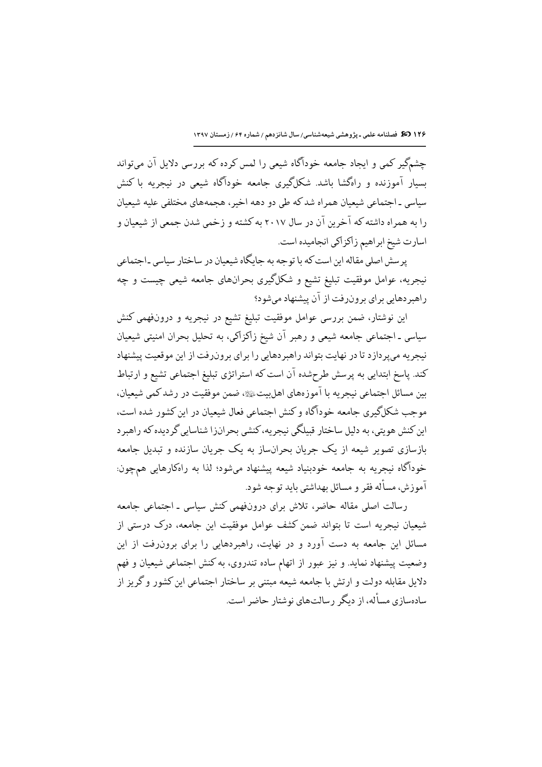١٢۶ 30 فصلنامه علمی ـ پژوهشی شیعهشناسی/ سال شانزدهم / شماره ۶۴ / زمستان ١٣٩٧

چشمگیر کمی و ایجاد جامعه خودآگاه شیعی را لمس کرده که بررسی دلایل آن می تواند ىسار آموزنده و راەگشا ياشد. شكلگىرى جامعه خودآگاه شىعى در نىجرىه ياكنش سیاسی ـ اجتماعی شیعیان همراه شد که طی دو دهه اخیر ، هجمههای مختلفی علیه شیعیان را به همراه داشته که آخرین آن در سال ۲۰۱۷ به کشته و زخمی شدن جمعی از شیعیان و اسارت شیخ ابراهیم زاکزاکی انجامیده است.

پر سش اصلی مقاله این است که با توجه به جایگاه شیعیان در ساختار سیاسی ـاجتماعی نیجریه، عوامل موفقیت تبلیغ تشیع و شکلگیری بحرانهای جامعه شیعی چیست و چه راهبردهایی برای برونرفت از آن پیشنهاد میشود؟

این نوشتار، ضمن بررسی عوامل موفقیت تبلیغ تشیع در نیجریه و درونفهمی کنش سیاسی ـ اجتماعی جامعه شیعی و رهبر آن شیخ زاکزاکی، به تحلیل بحران امنیتی شیعیان نیجریه میپردازد تا در نهایت بتواند راهبردهایی را برای برونرفت از این موقعیت پیشنهاد کند. پاسخ ابتدایی به پرسش طرحشده آن است که استراتژی تبلیغ اجتماعی تشیع و ارتباط بين مسائل اجتماعي نيجريه با آموزههاي اهلبيتﷺ، ضمن موفقيت در رشد كمي شيعيان، موجب شکلگیری جامعه خودآگاه و کنش اجتماعی فعال شیعیان در این کشور شده است، این کنش هویتی، به دلیل ساختار قبیلگی نیجریه، کنشی بحرانزا شناسایی گردیده که راهبرد بازسازی تصویر شیعه از یک حربان بحرانِساز به یک حربان سازنده و تبدیل حامعه خودآگاه نیجریه به جامعه خودبنیاد شیعه پیشنهاد میشود؛ لذا به راهکارهایی همچون: آموزش، مسأله فقر و مسائل بهداشتی باید توحه شود.

رسالت اصلی مقاله حاضر، تلاش برای درونفهمی کنش سیاسی ـ اجتماعی جامعه شیعیان نیجریه است تا بتواند ضمن کشف عوامل موفقیت این جامعه، درک درستی از مسائل این جامعه به دست آورد و در نهایت، راهبردهایی را برای برونرفت از این وضعیت پیشنهاد نماید. و نیز عبور از اتهام ساده تندروی، به کنش اجتماعی شیعیان و فهم دلایل مقابله دولت و ارتش با جامعه شیعه مبتنی بر ساختار اجتماعی این کشور و گریز از سادهسازی مسأله، از دیگر رسالتهای نوشتار حاضر است.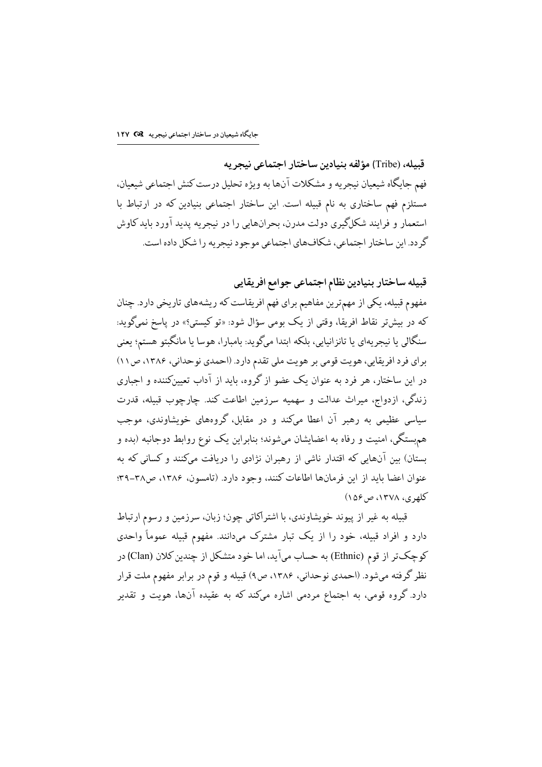قبيله، (Tribe) مؤلفه بنيادين ساختار اجتماعي نيجر يه فهم جايگاه شيعيان نيجريه و مشكلات آنها به ويژه تحليل درست كنش اجتماعي شيعيان، مستلزم فهم ساختاری به نام قبیله است. این ساختار اجتماعی بنیادین که در ارتباط با استعمار و فرایند شکلگیری دولت مدرن، بحرانهایی را در نیجریه پدید آورد باید کاوش گردد. این ساختار اجتماعی، شکافهای اجتماعی موجود نیجریه را شکل داده است.

قبيله ساختار بنيادين نظام اجتماعي جوامع افريقايي

مفهوم قبیله، یکی از مهمترین مفاهیم برای فهم افریقاست که ریشههای تاریخی دارد. چنان که در بیشتر نقاط افریقا، وقتی از یک بومی سؤال شود: «تو کیستی؟» در پاسخ نمیگوید: سنگالی یا نیجریهای یا تانزانیایی، بلکه ابتدا میگوید: بامبارا، هوسا یا مانگبتو هستم؛ یعنی برای فرد افریقایی، هویت قومی بر هویت ملی تقدم دارد. (احمدی نوحدانی، ۱۳۸۶، ص۱۱) در این ساختار، هر فرد به عنوان یک عضو از گروه، باید از آداب تعیینکننده و اجباری زندگی، ازدواج، میراث عدالت و سهمیه سرزمین اطاعت کند. چارچوب قبیله، قدرت سیاسی عظیمی به رهبر آن اعطا میکند و در مقابل، گروههای خویشاوندی، موجب همهستگی، امنیت و رفاه به اعضایشان میشوند؛ بنابراین یک نوع روابط دوجانبه (بده و بستان) بین آنهایی که اقتدار ناشی از رهبران نژادی را دریافت میکنند و کسانی که به عنوان اعضا بايد از اين فرمانها اطاعات كنند، وجود دارد. (تامسون، ١٣٨۶، ص٣٨-٣٩؛ کلهري، ١٣٧٨، ص٥۶)

قبیله به غیر از پیوند خویشاوندی، با اشتراکاتی چون؛ زبان، سرزمین و رسوم ارتباط دارد و افراد قبیله، خود را از یک تبار مشترک میدانند. مفهوم قبیله عموماً واحدی كوچكتر از قوم (Ethnic) به حساب ميآيد، اما خود متشكل از چندين كلان (Clan) در نظر گرفته میشود. (احمدی نوحدانی، ۱۳۸۶، ص۹) قبیله و قوم در برابر مفهوم ملت قرار دارد. گروه قومی، به اجتماع مردمی اشاره میکند که به عقیده آنها، هویت و تقدیر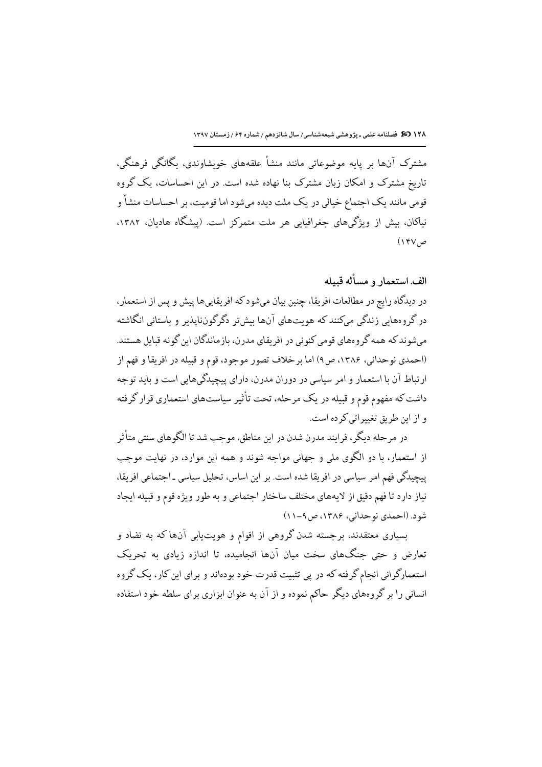مشترک آنها بر پایه موضوعاتی مانند منشأ علقههای خویشاوندی، یگانگی فرهنگی، تاریخ مشترک و امکان زبان مشترک بنا نهاده شده است. در این احساسات، یک گروه قومی مانند یک اجتماع خیالی در یک ملت دیده میشود اما قومیت، بر احساسات منشأ و نیاکان، بیش از ویژگیهای جغرافیایی هر ملت متمرکز است. (پیشگاه هادیان، ۱۳۸۲،  $(YY, \varphi)$ 

### الف استعمار و مسأله قبيله

در دیدگاه رایج در مطالعات افریقا، چنین بیان میشود که افریقاییها پیش و پس از استعمار، در گروههایی زندگی میکنند که هویتهای آنها بیشتر دگرگونناپذیر و باستانی انگاشته می شوند که همه گروههای قومی کنونی در افریقای مدرن، بازماندگان این گونه قبایل هستند. (احمدي نوحداني، ۱۳۸۶، ص۹) اما برخلاف تصور موجود، قوم و قبيله در افريقا و فهم از ارتباط آن با استعمار و امر سیاسی در دوران مدرن، دارای پیچیدگیهایی است و باید توجه داشت که مفهوم قوم و قبیله در یک مرحله، تحت تأثیر سیاستهای استعماری قرار گرفته و از این طریق تغییراتی کرده است.

در مرحله دیگر ، فرایند مدرن شدن در این مناطق، موحب شد تا الگوهای سنتی متأثر از استعمار، با دو الگوی ملی و جهانی مواجه شوند و همه این موارد، در نهایت موجب پیچیدگی فهم امر سیاسی در افریقا شده است. بر این اساس، تحلیل سیاسی ـ اجتماعی افریقا، نياز دارد تا فهم دقيق از لايههاي مختلف ساختار اجتماعي و به طور ويژه قوم و قبيله ايجاد شود. (احمدي نوحداني، ۱۳۸۶، ص ۹-۱۱)

بسیاری معتقدند، برجسته شدن گروهی از اقوام و هویتیابی آنها که به تضاد و تعارض و حتی جنگهای سخت میان آنها انجامیده، تا اندازه زیادی به تحریک استعمارگرانی انجام گرفته که در پی تثبیت قدرت خود بودهاند و برای این کار، یک گروه انسانی را بر گروههای دیگر حاکم نموده و از آن به عنوان ابزاری برای سلطه خود استفاده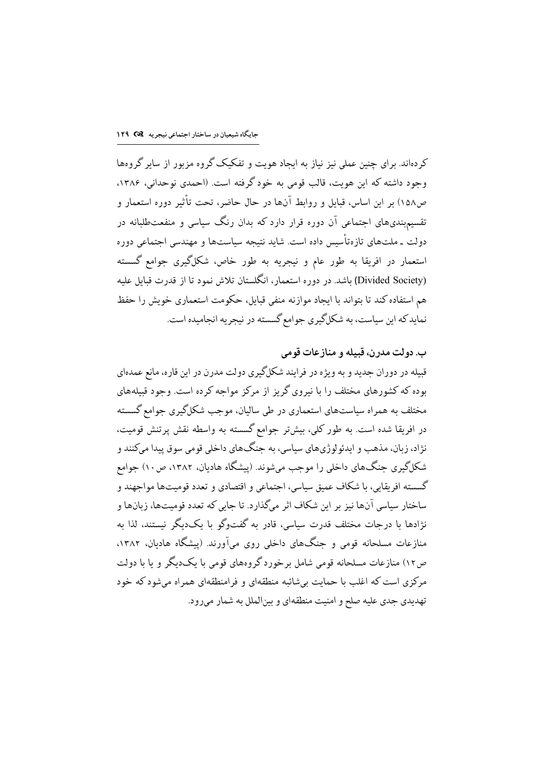کردهاند. برای چنین عملی نیز نیاز به ایجاد هویت و تفکیک گروه مزبور از سایر گروهها وجود داشته که این هویت، قالب قومی به خود گرفته است. (احمدی نوحدانی، ۱۳۸۶، ص١٥٨) بر اين اساس، قبايل و روابط آنها در حال حاضر، تحت تأثير دوره استعمار و تقسیم.بندیهای اجتماعی آن دوره قرار دارد که بدان رنگ سیاسی و منفعتطلبانه در دولت ـ ملتهای تازهتأسیس داده است. شاید نتیجه سیاستها و مهندسی اجتماعی دوره استعمار در افریقا به طور عام و نیجریه به طور خاص، شکلگیری جوامع گسسته (Divided Society) باشد. در دوره استعمار، انگلستان تلاش نمود تا از قدرت قبایل علیه هم استفاده کند تا بتواند با ایجاد موازنه منفی قبایل، حکومت استعماری خویش را حفظ نماید که این سیاست، به شکلگیری جوامع گسسته در نیجریه انجامیده است.

ب. دولت مدرن، قبيله و منازعات قومي قبیله در دوران جدید و به ویژه در فرایند شکلگیری دولت مدرن در این قاره، مانع عمدهای بوده که کشورهای مختلف را با نیروی گریز از مرکز مواجه کرده است. وجود قبیلههای مختلف به همراه سیاستهای استعماری در طی سالیان، موجب شکلگیری جوامع گسسته در افریقا شده است. به طور کلی، بیشتر جوامع گسسته به واسطه نقش پرتنش قومیت، نژاد، زبان، مذهب و ايدئو لوژي هاي سياسي، به جنگ هاي داخلي قومي سوق پيدا ميكنند و شکلگیری جنگهای داخلی را موجب میشوند. (پیشگاه هادیان، ۱۳۸۲، ص۱۰) جوامع گسسته افریقایی، با شکاف عمیق سیاسی، اجتماعی و اقتصادی و تعدد قومیتها مواجهند و ساختار سياسي آنها نيز بر اين شكاف اثر ميگذارد. تا جايي كه تعدد قوميتها، زبانها و نژادها با درحات مختلف قدرت سیاسی، قادر به گفتوگو با یکدیگر نیستند، لذا به منازعات مسلحانه قومی و جنگهای داخلی روی میآورند. (پیشگاه هادیان، ۱۳۸۲، ص١٢) منازعات مسلحانه قومی شامل برخوردگروههای قومی با یکدیگر و یا با دولت مرکزی است که اغلب با حمایت بیشائبه منطقهای و فرامنطقهای همراه میشود که خود تهدیدی جدی علیه صلح و امنیت منطقهای و بینالملل به شمار میرود.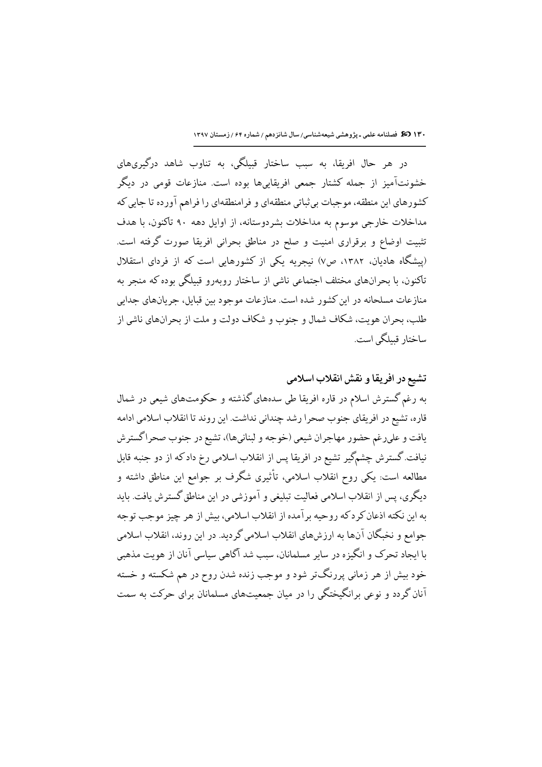۱۳۰ 30 فصلنامه علمی ـ پژوهشی شیعهشناسی/سال شانزدهم / شماره ۶۴ / زمستان ۱۳۹۷

در هر حال افریقا، به سبب ساختار قبیلگی، به تناوب شاهد درگیریهای خشونتآمیز از جمله کشتار جمعی افریقاییها بوده است. منازعات قومی در دیگر کشورهای این منطقه، موجبات بی¢باتی منطقهای و فرامنطقهای را فراهم آورده تا جایی که مداخلات خارجی موسوم به مداخلات بشردوستانه، از اوایل دهه ۹۰ تاکنون، با هدف تثبیت اوضاع و برقراری امنیت و صلح در مناطق بحرانی افریقا صورت گرفته است. (پیشگاه هادیان، ۱۳۸۲، ص۷) نیجریه یکی از کشورهایی است که از فردای استقلال تاکنون، با بحرانهای مختلف اجتماعی ناشی از ساختار روبهرو قبیلگی بوده که منجر به منازعات مسلحانه در این کشور شده است. منازعات موجود بین قبایل، جریانهای جدابی طلب، بحران هويت، شكاف شمال و حنوب و شكاف دولت و ملت از يحرانهاي ناشي از ساختار قىىلگى است.

تشيع در افريقا و نقش انقلاب اسلامي به رغم گسترش اسلام در قاره افریقا طی سدههای گذشته و حکومتهای شیعی در شمال قاره، تشيع در افريقاي جنوب صحرا رشد چنداني نداشت. اين روند تا انقلاب اسلامي ادامه <sub>.</sub><br>يافت و علىرغم حضور مهاجران شيعي (خوجه و لبنانيها)، تشيع در جنوب صحراگسترش نیافت. گسترش چشمگیر تشیع در افریقا پس از انقلاب اسلامی رخ داد که از دو جنبه قابل مطالعه است: یکی روح انقلاب اسلامی، تأثیری شگرف بر جوامع این مناطق داشته و دیگری، پس از انقلاب اسلامی فعالیت تبلیغی و آموزشی در این مناطق گسترش یافت. باید به این نکته اذعان کرد که روحیه برآمده از انقلاب اسلامی، بیش از هر چیز موجب توجه جوامع و نخبگان آنها به ارزشهای انقلاب اسلامی گردید. در این روند، انقلاب اسلامی با ایجاد تحرک و انگیزه در سایر مسلمانان، سبب شد آگاهی سیاسی آنان از هویت مذهبی خود بیش از هر زمانی پررنگتر شود و موجب زنده شدن روح در هم شکسته و خسته آنان گردد و نوعی برانگیختگی را در میان جمعیتهای مسلمانان برای حرکت به سمت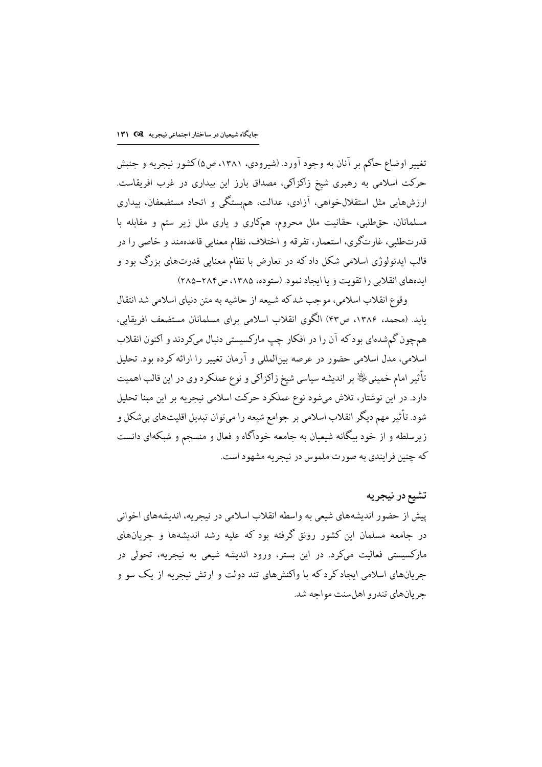تغییر اوضاع حاکم بر آنان به وجود آورد. (شیرودی، ۱۳۸۱، ص۵)کشور نیجریه و جنبش حرکت اسلامی به رهبری شیخ زاکزاکی، مصداق بارز این بیداری در غرب افریقاست. ارزشهایی مثل استقلالخواهی، آزادی، عدالت، همهستگی و اتحاد مستضعفان، بیداری مسلمانان، حقطلبی، حقانیت ملل محروم، همکاری و یاری ملل زیر ستم و مقابله با قدرتطلبی، غارتگری، استعمار، تفرقه و اختلاف، نظام معنایی قاعدهمند و خاصی را در قالب ایدئولوژی اسلامی شکل داد که در تعارض با نظام معنایی قدرتهای بزرگ بود و ایدههای انقلابی را تقویت و یا ایجاد نمود. (ستوده، ۱۳۸۵، ص۲۸۴–۲۸۵)

وقوع انقلاب اسلامي، موجب شدكه شيعه از حاشيه به متن دنياي اسلامي شد انتقال يابد. (محمد، ۱۳۸۶، ص۴۳) الگوی انقلاب اسلامی برای مسلمانان مستضعف افريقايي، همچون گمشدهای بودکه آن را در افکار چپ مارکسیستی دنبال میکردند و اکنون انقلاب اسلامی، مدل اسلامی حضور در عرصه بینالمللی و آرمان تغییر را ارائه کرده بود. تحلیل تأثير امام خمينيﷺ بر انديشه سياسي شيخ زاكزاكي و نوع عملكرد وي در اين قالب اهميت دارد. در این نوشتار، تلاش میشود نوع عملکرد حرکت اسلامی نیجریه بر این مبنا تحلیل شود. تأثیر مهم دیگر انقلاب اسلامی بر جوامع شیعه را میتوان تبدیل اقلیتهای بیشکل و زیرسلطه و از خود بیگانه شیعیان به جامعه خودآگاه و فعال و منسجم و شبکهای دانست .<br>که چنین فرایندی به صورت ملموس در نیچریه مشهود است.

تشيع در نيجريه پیش از حضور اندیشههای شیعی به واسطه انقلاب اسلامی در نیجریه، اندیشههای اخوانی در جامعه مسلمان این کشور رونق گرفته بود که علیه رشد اندیشهها و جریانهای مارکسیستی فعالیت میکرد. در این بستر، ورود اندیشه شیعی به نیجریه، تحولی در جریانهای اسلامی ایجاد کرد که با واکنشهای تند دولت و ارتش نیجریه از یک سو و حر بانهای تندر و اهل سنت مواحه شد.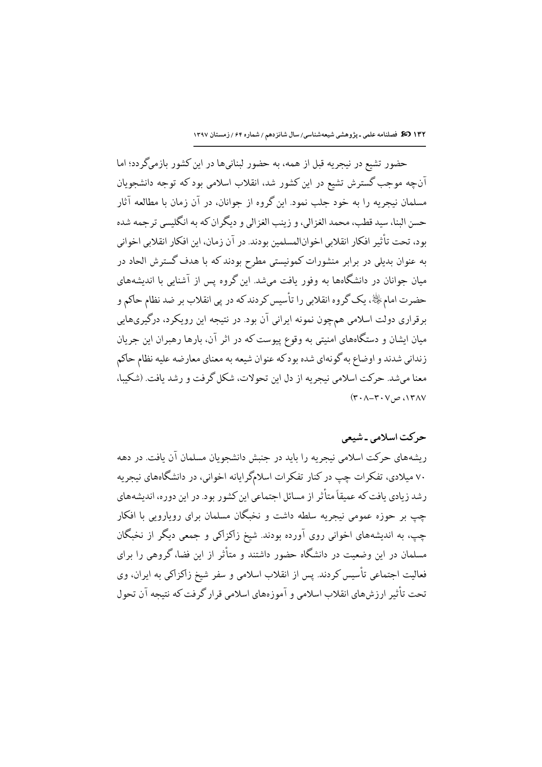حضور تشيع در نيجريه قبل از همه، به حضور لبنانيها در اين كشور بازميگر دد؛ اما آنچه موجب گسترش تشیع در این کشور شد، انقلاب اسلامی بود که توجه دانشجویان مسلمان نیجریه را به خود جلب نمود. این گروه از جوانان، در آن زمان با مطالعه آثار حسن البنا، سيد قطب، محمد الغزالي، و زينب الغزالي و ديگران كه به انگليسي ترجمه شده بود، تحت تأثير افكار انقلابي اخوانالمسلمين بودند. در آن زمان، اين افكار انقلابي اخواني به عنوان بدیلی در برابر منشورات کمونیستی مطرح بودند که با هدف گسترش الحاد در میان جوانان در دانشگاهها به وفور یافت میشد. این گروه پس از آشنایی با اندیشههای حضرت امامﷺ، یک گروه انقلابی را تأسیس کردند که در پی انقلاب بر ضد نظام حاکم و برقراری دولت اسلامی همچون نمونه ایرانی آن بود. در نتیجه این رویکرد، درگیریهایی میان ایشان و دستگاههای امنیتی به وقوع پیوست که در اثر آن، بارها رهبران این جریان زنداني شدند و اوضاع به گونهاي شده بودكه عنوان شيعه به معناي معارضه عليه نظام حاكم معنا مي شد. حركت اسلامي نيجريه از دل اين تحولات، شكل گرفت و رشد يافت. (شكيبا،  $(Y \cdot \Lambda - Y \cdot V) \varphi \wedge Y \wedge V$ 

## حرکت اسلامی ۔شیعی

ریشههای حرکت اسلامی نیجریه را باید در جنبش دانشجویان مسلمان آن یافت. در دهه ۷۰ میلادی، تفکرات چپ در کنار تفکرات اسلامگرایانه اخوانی، در دانشگاههای نیجریه رشد زیادی یافت که عمیقاً متأثر از مسائل اجتماعی این کشور بود. در این دوره، اندیشههای چپ بر حوزه عمومی نیجریه سلطه داشت و نخبگان مسلمان برای رویارویی با افکار چپ، به اندیشههای اخوانی روی آورده بودند. شیخ زاکزاکی و جمعی دیگر از نخبگان مسلمان در این وضعیت در دانشگاه حضور داشتند و متأثر از این فضا، گروهی را برای فعالیت احتماعی تأسس کردند. پس از انقلاب اسلامی و سفر شیخ زاکزاکی به ایران، وی تحت تأثير ارزشهاي انقلاب اسلامي و آموزههاي اسلامي قرار گرفت كه نتيجه آن تحول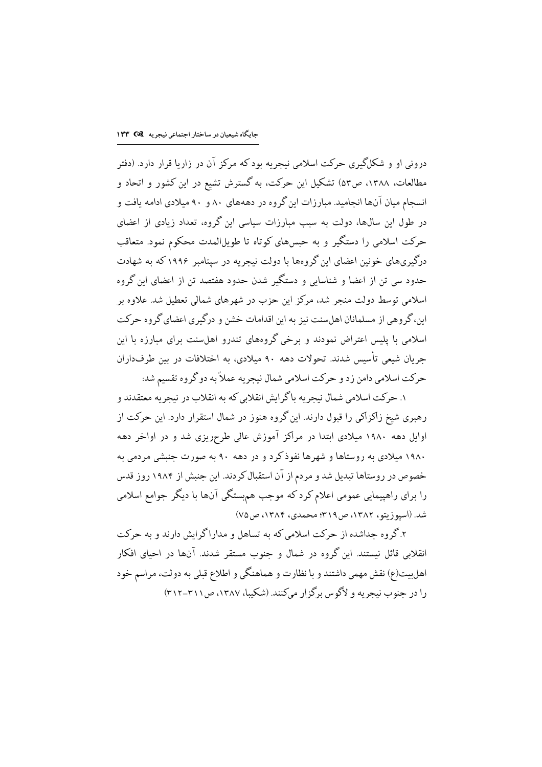درونی او و شکلگیری حرکت اسلامی نیجریه بود که مرکز آن در زاریا قرار دارد. (دفتر مطالعات، ۱۳۸۸، ص۵۳) تشکیل این حرکت، به گسترش تشیع در این کشور و اتحاد و انسجام میان آنها انجامید. مبارزات این گروه در دهههای ۸۰ و ۹۰ میلادی ادامه یافت و در طول این سال@ا، دولت به سبب مبارزات سیاسی این گروه، تعداد زیادی از اعضای حرکت اسلامی را دستگیر و به حبسهای کوتاه تا طویلالمدت محکوم نمود. متعاقب درگیریهای خونین اعضای این گروهها با دولت نیجریه در سپتامبر ۱۹۹۶ که به شهادت حدود سی تن از اعضا و شناسایی و دستگیر شدن حدود هفتصد تن از اعضای این گروه اسلامی توسط دولت منجر شد، مرکز این حزب در شهرهای شمالی تعطیل شد. علاوه بر این، گروهی از مسلمانان اهل سنت نیز به این اقدامات خشن و درگیری اعضای گروه حرکت اسلامی با پلیس اعتراض نمودند و برخی گروههای تندرو اهلسنت برای مبارزه با این جريان شيعي تأسيس شدند. تحولات دهه ۹۰ ميلادي، به اختلافات در بين طرفداران حركت اسلامي دامن زد و حركت اسلامي شمال نيجريه عملاً به دو گروه تقسيم شد:

١. حركت اسلامي شمال نيجريه باگرايش انقلابي كه به انقلاب در نيجريه معتقدند و رهبری شیخ زاکزاکی را قبول دارند. این گروه هنوز در شمال استقرار دارد. این حرکت از اوایل دهه ۱۹۸۰ میلادی ابتدا در مراکز آموزش عالی طرحریزی شد و در اواخر دهه ۱۹۸۰ میلادی به روستاها و شهرها نفوذکرد و در دهه ۹۰ به صورت جنبشی مردمی به خصوص در روستاها تبدیل شد و مردم از آن استقبال کردند. این جنبش از ۱۹۸۴ روز قدس را برای راهپیمایی عمومی اعلام کرد که موجب هم.ستگی آنها با دیگر جوامع اسلامی شد. (اسیوزیتو، ۱۳۸۲، ص۳۱۹؛ محمدی، ۱۳۸۴، ص۷۵)

۲.گروه جداشده از حرکت اسلامی که به تساهل و مداراگرایش دارند و به حرکت انقلابی قائل نیستند. این گروه در شمال و جنوب مستقر شدند. آنها در احیای افکار اهلبیت(ع) نقش مهمی داشتند و با نظارت و هماهنگی و اطلاع قبلی به دولت، مراسم خود را در حنوب نیچر به و لاگوس برگزار میکنند. (شکیبا، ۱۳۸۷، ص۲۱۱-۳۱۲)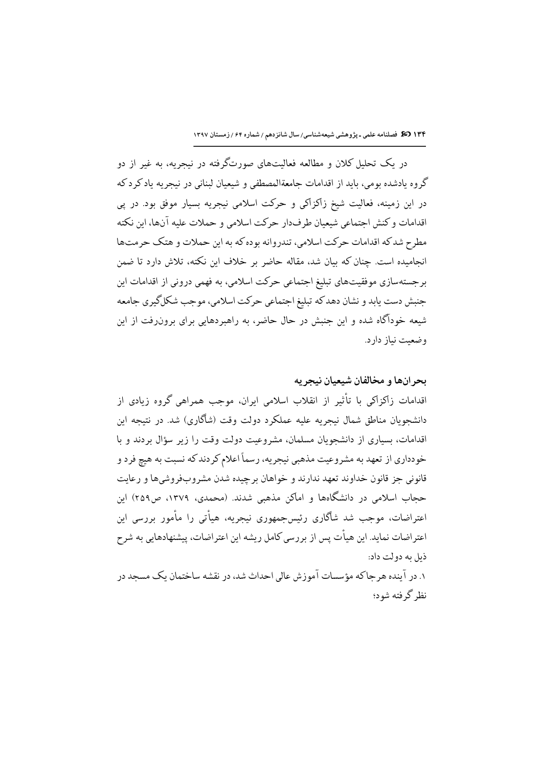در یک تحلیل کلان و مطالعه فعالیتهای صورتگرفته در نیجریه، به غیر از دو گروه يادشده بومي، بايد از اقدامات جامعةالمصطفى و شيعيان لبناني در نيجريه ياد كرد كه در این زمینه، فعالیت شیخ زاکزاکی و حرکت اسلامی نیجریه بسیار موفق بود. در پی اقدامات و كنش احتماعي شيعيان طرفدار حركت اسلامي و حملات عليه آنها، ابن نكته مطرح شدكه اقدامات حركت اسلامي، تندروانه بوده كه به اين حملات و هتك حرمتها انجامیده است. چنان که بیان شد، مقاله حاضر بر خلاف این نکته، تلاش دارد تا ضمن برجستهسازی موفقیتهای تبلیغ اجتماعی حرکت اسلامی، به فهمی درونی از اقدامات این جنبش دست یابد و نشان دهدکه تبلیغ اجتماعی حرکت اسلامی، موجب شکلگیری جامعه شیعه خودآگاه شده و این جنبش در حال حاضر، به راهبردهایی برای برونرفت از این وضعيت نياز دارد.

بحر انها و مخالفان شیعیان نیجر یه اقدامات زاکزاکی با تأثیر از انقلاب اسلامی ایران، موجب همراهی گروه زیادی از دانشجویان مناطق شمال نبجریه علیه عملکرد دولت وقت (شاگاری) شد. در نتیجه این اقدامات، بسیاری از دانشجویان مسلمان، مشروعیت دولت وقت را زیر سؤال بردند و با خودداري از تعهد به مشروعيت مذهبي نيجريه، رسماً اعلام كردندكه نسبت به هيچ فرد و قانوني جز قانون خداوند تعهد ندارند و خواهان برچیده شدن مشروبفروشيها و رعايت حجاب اسلامی در دانشگاهها و اماکن مذهبی شدند. (محمدی، ۱۳۷۹، ص۲۵۹) این اعتراضات، موحب شد شاگاری رئس حمهوری نیچریه، هیأتی را مأمور پررسی این اعتراضات نماید. این هیأت پس از بررسی کامل ریشه این اعتراضات، پیشنهادهایی به شرح ذيل به دولت داد: ۱. در آینده هر حاکه مؤسسات آموزش عالی احداث شد، در نقشه ساختمان یک مسحد در نظر گرفته شود؛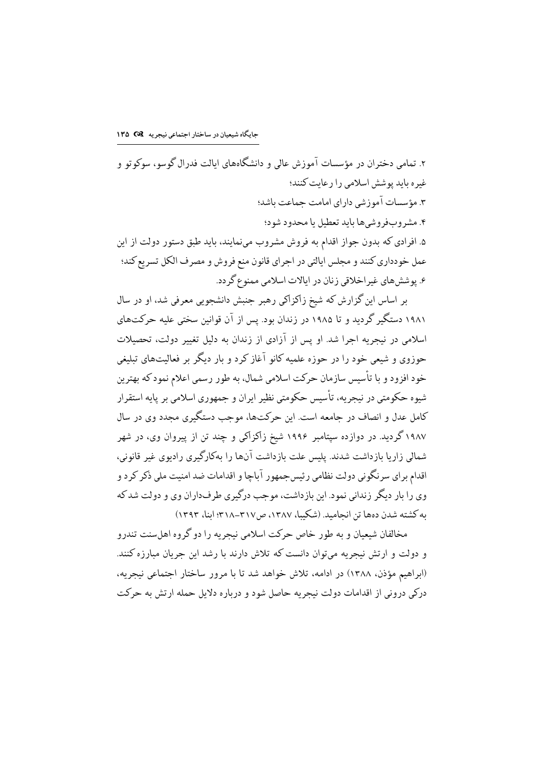۲. تمامی دختران در مؤسسات آموزش عالی و دانشگاههای ایالت فدرال گوسو، سوکوتو و غیره باید یوشش اسلامی را رعایت کنند؛ ۳. مؤسسات آموزشی دارای امامت جماعت باشد؛ ۴. مشروبفروشيها بايد تعطيل يا محدود شود؛ ۵. افرادی که بدون جواز اقدام به فروش مشروب مینمایند، باید طبق دستور دولت از این عمل خودداري كنند و مجلس ايالتي در اجراي قانون منع فروش و مصرف الكل تسريع كند؛ ۶. یو شش های غیر اخلاقی زنان در ایالات اسلامی ممنوع گر دد.

بر اساس این گزارش که شیخ زاکزاکی رهبر جنبش دانشجویی معرفی شد، او در سال ۱۹۸۱ دستگیر گردید و تا ۱۹۸۵ در زندان بود. پس از آن قوانین سختی علیه حرکتهای اسلامی در نیجریه اجرا شد. او پس از آزادی از زندان به دلیل تغییر دولت، تحصیلات حوزوی و شیعی خود را در حوزه علمیه کانو آغاز کرد و بار دیگر بر فعالیتهای تبلیغی خود افزود و با تأسیس سازمان حرکت اسلامی شمال، به طور رسمی اعلام نمود که بهترین شیوه حکومتی در نیجریه، تأسیس حکومتی نظیر ایران و جمهوری اسلامی بر پایه استقرار كامل عدل و انصاف در جامعه است. این حركتها، موجب دستگیری مجدد وی در سال ۱۹۸۷ گردید. در دوازده سپتامبر ۱۹۹۶ شیخ زاکزاکی و چند تن از پیروان وی، در شهر شمالی زار با بازداشت شدند. پلیس علت بازداشت آنها را بهکارگیری رادیوی غیر قانونی، اقدام بر ای سر نگونی دولت نظامی رئیس جمهور آباچا و اقدامات ضد امنیت ملی ذکر کر د و وی را بار دیگر زندانی نمود. این بازداشت، موجب درگیری طرفداران وی و دولت شد که به کشته شدن دهها تن انحامید. (شکیبا، ۱۳۸۷، ص۳۱۷-۳۱۸.) ابنا، ۱۳۹۳)

مخالفان شیعیان و به طور خاص حرکت اسلامی نیجریه را دو گروه اهلسنت تندرو و دولت و ارتش نیجریه میتوان دانست که تلاش دارند با رشد این جریان مبارزه کنند. (ابراهیم مؤذن، ۱۳۸۸) در ادامه، تلاش خواهد شد تا با مرور ساختار اجتماعی نیجریه، درکی درونی از اقدامات دولت نیجریه حاصل شود و درباره دلایل حمله ارتش به حرکت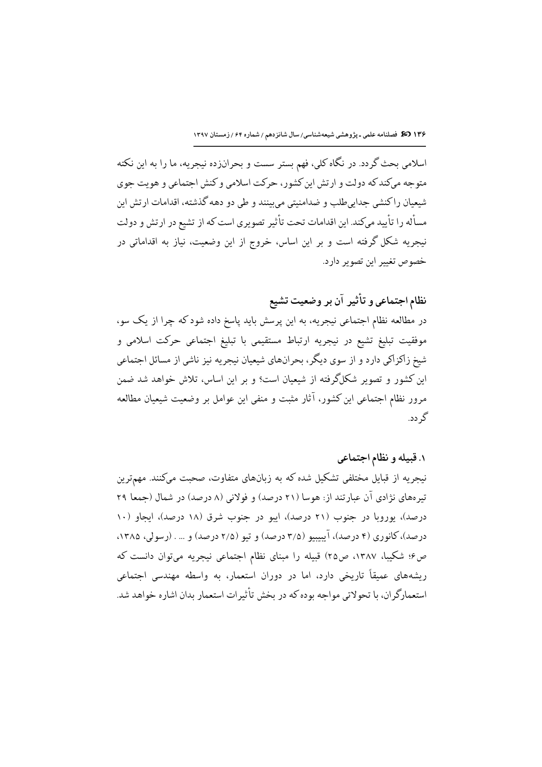اسلامی بحث گردد. در نگاه کلی، فهم بستر سست و بحرانزده نیجریه، ما را به این نکته متوجه میکندکه دولت و ارتش این کشور، حرکت اسلامی و کنش اجتماعی و هویت جوی شیعیان راکنشی جداییطلب و ضدامنیتی میبینند و طی دو دهه گذشته، اقدامات ارتش این مسأله را تأييد مىكند. اين اقدامات تحت تأثير تصويرى است كه از تشيع در ارتش و دولت نیجریه شکل گرفته است و بر این اساس، خروج از این وضعیت، نیاز به اقداماتی در خصوص تغيير اين تصوير دارد.

نظام اجتماعی و تأثیر آن بر وضعیت تشیع

در مطالعه نظام اجتماعی نیجریه، به این پرسش باید پاسخ داده شود که چرا از یک سو، موفقیت تبلیغ تشیع در نیجریه ارتباط مستقیمی با تبلیغ اجتماعی حرکت اسلامی و شیخ زاکزاکی دارد و از سوی دیگر، بحرانهای شیعیان نیجریه نیز ناشی از مسائل اجتماعی این کشور و تصویر شکلگرفته از شیعیان است؟ و بر این اساس، تلاش خواهد شد ضمن مرور نظام اجتماعی این کشور، آثار مثبت و منفی این عوامل بر وضعیت شیعیان مطالعه گر دد.

# ۱. قبیله و نظام اجتماعی

نیجریه از قبایل مختلفی تشکیل شده که به زبانهای متفاوت، صحبت میکنند. مهمترین تیرههای نژادی آن عبارتند از: هوسا (۲۱ درصد) و فولانی (۸ درصد) در شمال (جمعا ۲۹ درصد)، یوروبا در جنوب (۲۱ درصد)، ایبو در جنوب شرق (۱۸ درصد)، ایجاو (۱۰ درصد)، کانوری (۴ درصد)، آیبیبیو (۳/۵ درصد) و تیو (۲/۵ درصد) و … . (رسولی، ۱۳۸۵، ص۶؛ شکیبا، ۱۳۸۷، ص۲۵) قبیله را مبنای نظام اجتماعی نیجریه میتوان دانست که ریشههای عمیقاً تاریخی دارد، اما در دوران استعمار، به واسطه مهندسی اجتماعی استعمارگر ان، با تحولاتی مواجه بوده که در بخش تأثیرات استعمار بدان اشاره خواهد شد.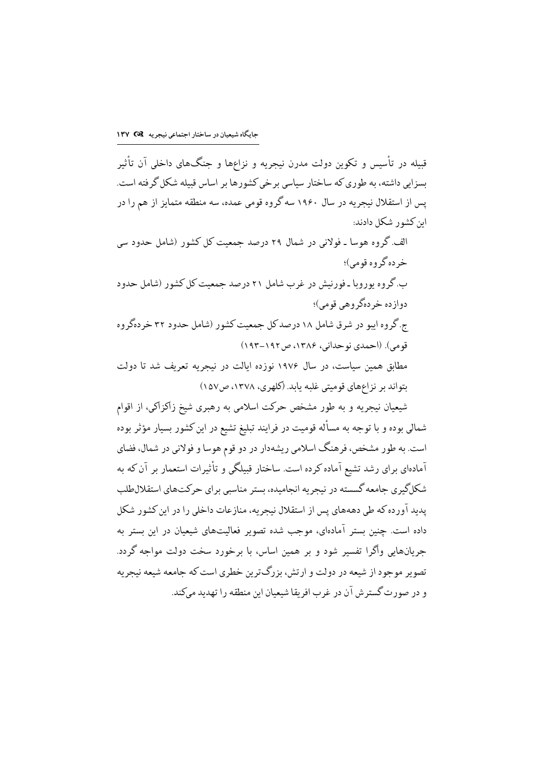قبیله در تأسیس و تکوین دولت مدرن نیجریه و نزاعها و جنگهای داخلی آن تأثیر پسزایی داشته، به طوری که ساختار سیاسی برخی کشورها بر اساس قبیله شکل گرفته است. یس از استقلال نیجریه در سال ۱۹۶۰ سه گروه قومی عمده، سه منطقه متمایز از هم را در این کشور شکل دادند:

الف.گروه هوسا ـ فولانی در شمال ۲۹ درصد جمعیت کل کشور (شامل حدود سی خر ده گروه قومي؛ ب.گروه پوروبا ـ فورنیش در غرب شامل ۲۱ درصد حمعیت کل کشور (شامل حدود دواز ده خر دهگر وهي قومي)؛ ج گروه ایبو در شرق شامل ۱۸ درصد کل جمعیت کشور (شامل حدود ۳۲ خر دهگروه قومي). (احمدي نو حداني، ۱۳۸۶ ص ۱۹۲–۱۹۳) مطابق همین سیاست، در سال ۱۹۷۶ نوزده ایالت در نیچریه تعریف شد تا دولت بتواند بر نزاعهای قومیتی غلبه پابد. (کلهری، ۱۳۷۸، ص۱۵۷)

شیعیان نیجریه و به طور مشخص حرکت اسلامی به رهبری شیخ زاکزاکی، از اقوام شمالی بوده و با توجه به مسأله قومیت در فرایند تبلیغ تشیع در این کشور بسیار مؤثر بوده است. به طور مشخص، فرهنگ اسلامی ریشهدار در دو قوم هوسا و فولانی در شمال، فضای آمادهای برای رشد تشیع آماده کرده است. ساختار قبیلگی و تأثیرات استعمار بر آن که به شکلگیری جامعه گسسته در نیجریه انجامیده، بستر مناسبی برای حرکتهای استقلالطلب یدید آورده که طی دهههای پس از استقلال نیجریه، منازعات داخلی را در این کشور شکل داده است. چنین بستر آمادهای، موجب شده تصویر فعالیتهای شیعیان در این بستر به جریانهایی واگرا تفسیر شود و بر همین اساس، با برخورد سخت دولت مواجه گردد. تصویر موجود از شیعه در دولت و ارتش، بزرگترین خطری است که جامعه شیعه نیجریه و در صورت گسترش آن در غرب افریقا شیعیان این منطقه را تهدید میكند.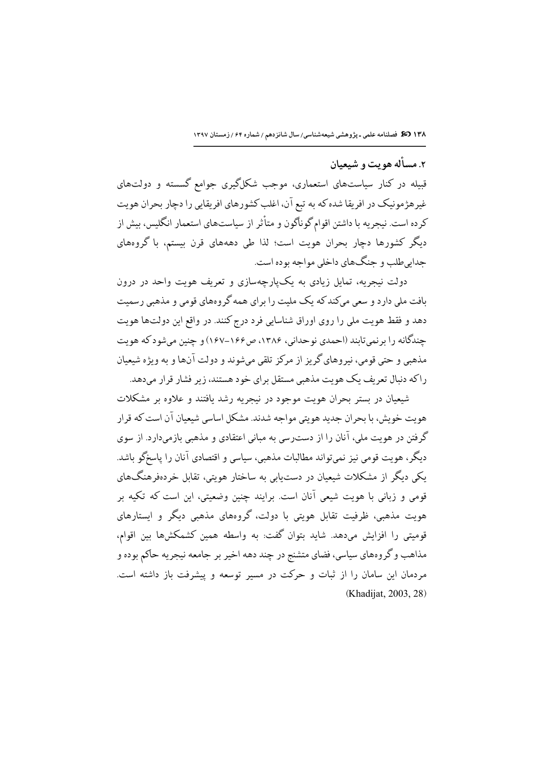۲. مسأله هو يت و شيعيان

قبیله در کنار سیاستهای استعماری، موجب شکلگیری جوامع گسسته و دولتهای غیرهژمونیک در افریقا شده که به تبع آن، اغلب کشورهای افریقایی را دچار بحران هویت کرده است. نیجریه با داشتن اقوام گوناگون و متأثر از سیاستهای استعمار انگلیس، بیش از دیگر کشورها دچار بحران هویت است؛ لذا طی دهههای قرن بیستم، با گروههای جدابي طلب و جنگهاي داخلي مواجه بوده است.

دولت نبجریه، تمایل زیادی به یکپارچهسازی و تعریف هویت واحد در درون بافت ملي دار د و سعي مي كند كه يك مليت را بر اي همه گر ومهاي قومي و مذهبي رسميت دهد و فقط هويت ملي را روى اوراق شناسايي فرد درج كنند. در واقع اين دولتها هويت چندگانه را برنمیتابند (احمدی نوحدانی، ۱۳۸۶، ص۱۶۶–۱۶۷) و چنین میشود که هویت مذهبي و حتى قومي، نيروهاي گريز از مركز تلقى ميشوند و دولت آنها و به ويژه شيعيان راکه دنبال تعریف یک هویت مذهبی مستقل برای خود هستند، زیر فشار قرار می دهد.

شیعیان در بستر بحران هویت موجود در نیجریه رشد یافتند و علاوه بر مشکلات هويت خويش، با بحران جديد هويتي مواجه شدند. مشكل اساسي شيعيان آن است كه قرار گرفتن در هویت ملی، آنان را از دست رسی به مبانی اعتقادی و مذهبی بازمیدارد. از سوی دیگر، هویت قومی نیز نمی تواند مطالبات مذهبی، سیاسی و اقتصادی آنان را پاسخگو باشد. یکی دیگر از مشکلات شیعیان در دست.یابی به ساختار هویتی، تقابل خردهفرهنگهای قومی و زبانی با هویت شیعی آنان است. برایند چنین وضعیتی، این است که تکیه بر هویت مذهبی، ظرفیت تقابل هویتی با دولت، گروههای مذهبی دیگر و ایستارهای قومیتی را افزایش میدهد. شاید بتوان گفت: به واسطه همین کشمکشها بین اقوام، مذاهب و گروههاي سياسي، فضاي متشنج در چند دهه اخير بر جامعه نيجريه حاكم بوده و مردمان این سامان را از ثبات و حرکت در مسیر توسعه و پیشرفت باز داشته است. (Khadijat, 2003, 28)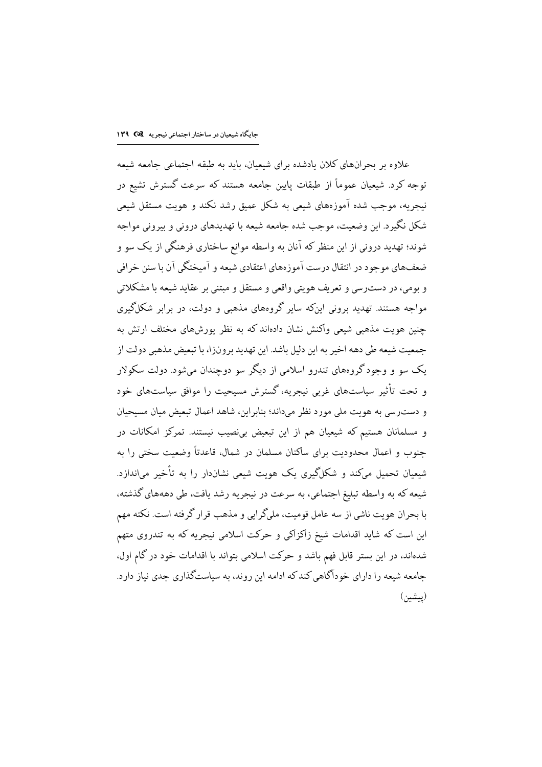علاوه بر يجرآنهاي كلان بادشده براي شيعيان، بايد به طبقه احتماعي حامعه شيعه توجه کرد. شیعیان عموماً از طبقات پایین جامعه هستند که سرعت گسترش تشیع در نیجریه، موجب شده آموزههای شیعی به شکل عمیق رشد نکند و هویت مستقل شیعی شکل نگیر د. این وضعیت، موجب شده جامعه شیعه با تهدیدهای درونی و بیرونی مواجه شوند؛ تهدید درونی از این منظر که آنان به واسطه موانع ساختاری فرهنگی از یک سو و ضعف@های موجود در انتقال درست آموزههای اعتقادی شیعه و آمیختگی آن با سنن خرافی و بومي، در دست٫سي و تعريف هويتي واقعي و مستقل و مبتني بر عقايد شيعه با مشكلاتي مواجه هستند. تهدید برونی اینکه سایر گروههای مذهبی و دولت، در برابر شکلگیری چنین هویت مذهبی شیعی واکنش نشان دادهاند که به نظر پورشهای مختلف ارتش به جمعيت شيعه طي دهه اخير به اين دليل باشد. اين تهديد بر ونزا، با تبعيض مذهبي دولت از یک سو و وجود گروههای تندرو اسلامی از دیگر سو دوچندان میشود. دولت سکولار و تحت تأثیر ساستهای غربی نیجریه، گسترش مسیحیت را موافق ساستهای خود و دست رسی به هویت ملی مورد نظر میداند؛ بنابراین، شاهد اعمال تبعیض میان مسیحیان و مسلمانان هستیم که شیعیان هم از این تبعیض بی;صیب نیستند. تمرکز امکانات در جنوب و اعمال محدودیت برای ساکنان مسلمان در شمال، قاعدتاً وضعیت سختی را به شیعیان تحمیل میکند و شکلگیری یک هویت شیعی نشاندار را به تأخیر می\ندازد. شیعه که به واسطه تبلیغ اجتماعی، به سرعت در نیجریه رشد یافت، طی دهههای گذشته، با بحران هويت ناشي از سه عامل قوميت، مليگرايي و مذهب قرار گرفته است. نكته مهم این است که شاید اقدامات شیخ زاکزاکی و حرکت اسلامی نیجریه که به تندروی متهم شدهاند، در این بستر قابل فهم باشد و حرکت اسلامی بتواند با اقدامات خود در گام اول، جامعه شیعه را دارای خودآگاهی کند که ادامه این روند، به سیاستگذاری جدی نیاز دارد. (پیشین)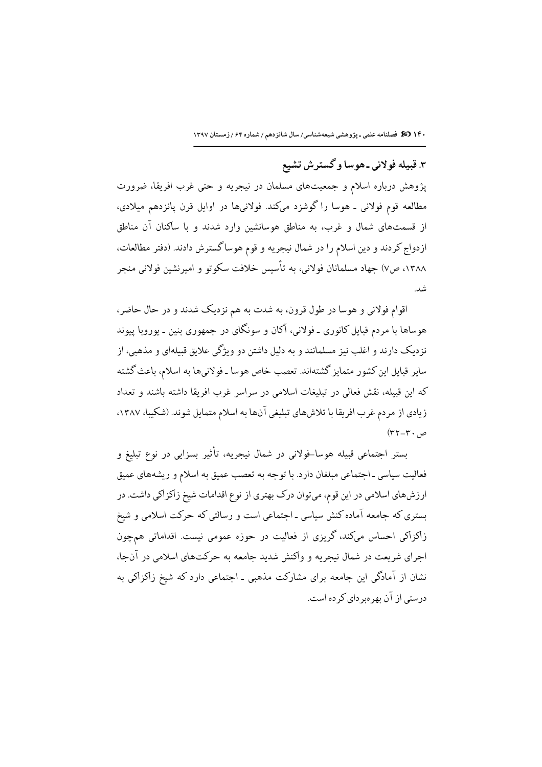١۴٠ 30 فصلنامه علمى ـ پژوهشى شيعه شناسى/ سال شانزدهم / شماره ۶۴ / زمستان ١٣٩٧

۳. قبیله فولانی ـ هوسا و گسترش تشیع

پژوهش درباره اسلام و جمعیتهای مسلمان در نیجریه و حتی غرب افریقا، ضرورت مطالعه قوم فولانی ـ هوسا را گوشزد میکند. فولانیها در اوایل قرن پانزدهم میلادی، از قسمتهای شمال و غرب، به مناطق هوسانشین وارد شدند و با ساکنان آن مناطق ازدواج کردند و دین اسلام را در شمال نیجریه و قوم هوساگسترش دادند. (دفتر مطالعات، ١٣٨٨، ص٧) جهاد مسلمانان فولاني، به تأسيس خلافت سكوتو و اميرنشين فولاني منجر شد.

اقوام فولاني و هوسا در طول قرون، به شدت به هم نزديک شدند و در حال حاضر، هوساها با مردم قبایل کانوری ـ فولانی، آکان و سونگای در جمهوری بنین ـ یوروبا پیوند نزدیک دارند و اغلب نیز مسلمانند و به دلیل داشتن دو ویژگی علایق قبیلهای و مذهبی، از سایر قبایل این کشور متمایز گشتهاند. تعصب خاص هوسا ـ فولانیها به اسلام، باعث گشته كه اين قبيله، نقش فعالي در تبليغات اسلامي در سراسر غرب افريقا داشته باشند و تعداد زیادی از مردم غرب افریقا با تلاشهای تبلیغی آنها به اسلام متمایل شوند. (شکیبا، ۱۳۸۷،  $(\mathsf{r}\mathsf{r}\mathsf{-}\mathsf{r}\mathsf{-}\mathsf{p})$ 

بستر اجتماعی قبیله هوسا-فولانی در شمال نیجریه، تأثیر بسزایی در نوع تبلیغ و فعالیت سیاسی ـ اجتماعی مبلغان دارد. با توجه به تعصب عمیق به اسلام و ریشههای عمیق ارزشهای اسلامی در این قوم، میتوان درک بهتری از نوع اقدامات شیخ زاکزاکی داشت. در بستری که جامعه آماده کنش سیاسی ـ اجتماعی است و رسالتی که حرکت اسلامی و شیخ زاکزاکی احساس میکند، گریزی از فعالیت در حوزه عمومی نیست. اقداماتی همچون اجرای شریعت در شمال نیجریه و واکنش شدید جامعه به حرکتهای اسلامی در آنجا، نشان از آمادگی این جامعه برای مشارکت مذهبی ـ اجتماعی دارد که شیخ زاکزاکی به در ستی از آن بھر میر دای کر دہ است.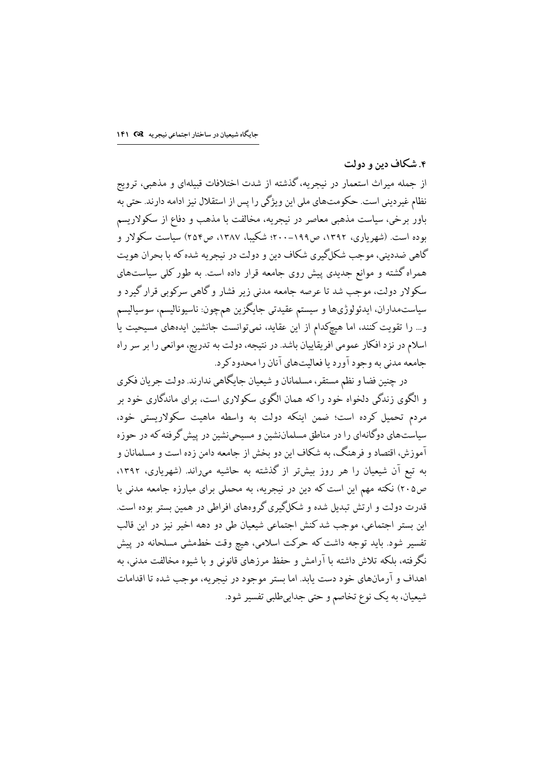### ۴. شکاف دین و دولت

از جمله میراث استعمار در نیجریه، گذشته از شدت اختلافات قبیلهای و مذهبی، ترویج نظام غیردینی است. حکومتهای ملی این ویژگی را پس از استقلال نیز ادامه دارند. حتی به باور برخی، سیاست مذهبی معاصر در نیجریه، مخالفت با مذهب و دفاع از سکولاریسم بوده است. (شهریاری، ۱۳۹۲، ص۱۹۹–۲۰۰؛ شکیبا، ۱۳۸۷، ص۲۵۴) سیاست سکولار و گاهي ضدديني، موجب شکلگيري شکاف دين و دولت در نيجريه شده که با بحران هويت همراه گشته و موانع جدیدی پیش روی جامعه قرار داده است. به طور کلی سیاستهای سکولار دولت، موجب شد تا عرصه جامعه مدنی زیر فشار و گاهی سرکوبی قرار گیرد و سیاستمداران، ایدئولوژیها و سیستم عقیدتی جایگزین همچون: ناسیونالیسم، سوسیالیسم و… را تقویت کنند، اما هیچکدام از این عقاید، نمیتوانست جانشین ایدههای مسیحیت یا اسلام در نزد افکار عمومی افریقاییان باشد. در نتیجه، دولت به تدریج، موانعی را بر سر راه جامعه مدني به وجود آورد يا فعاليتهاي آنان را محدودكر د.

در چنین فضا و نظم مستقر، مسلمانان و شیعیان جایگاهی ندارند. دولت جریان فکری و الگوی زندگی دلخواه خود را که همان الگوی سکولاری است، برای ماندگاری خود بر مردم تحمیل کرده است؛ ضمن اینکه دولت به واسطه ماهیت سکولاریستی خود، سیاستهای دوگانهای را در مناطق مسلماننشین و مسیحینشین در پیش گرفته که در حوزه آموزش، اقتصاد و فرهنگ، به شکاف این دو بخش از جامعه دامن زده است و مسلمانان و به تبع آن شیعیان را هر روز بیشتر از گذشته به حاشیه میراند. (شهریاری، ۱۳۹۲، ص٢٠۵) نكته مهم اين است كه دين در نيجريه، به محملي براي مبارزه جامعه مدني با قدرت دولت و ارتش تبدیل شده و شکلگیری گروههای افراطی در همین بستر بوده است. این بستر اجتماعی، موجب شدکنش اجتماعی شیعیان طی دو دهه اخیر نیز در این قالب تفسیر شود. باید توجه داشت که حرکت اسلامی، هیچ وقت خطـمشی مسلحانه در پیش نگرفته، بلکه تلاش داشته با آرامش و حفظ مرزهای قانونی و با شیوه مخالفت مدنی، به اهداف و آرمانهای خود دست یابد. اما بستر موجود در نیجریه، موجب شده تا اقدامات شیعیان، به یک نوع تخاصم و حتی جداییطلبی تفسیر شود.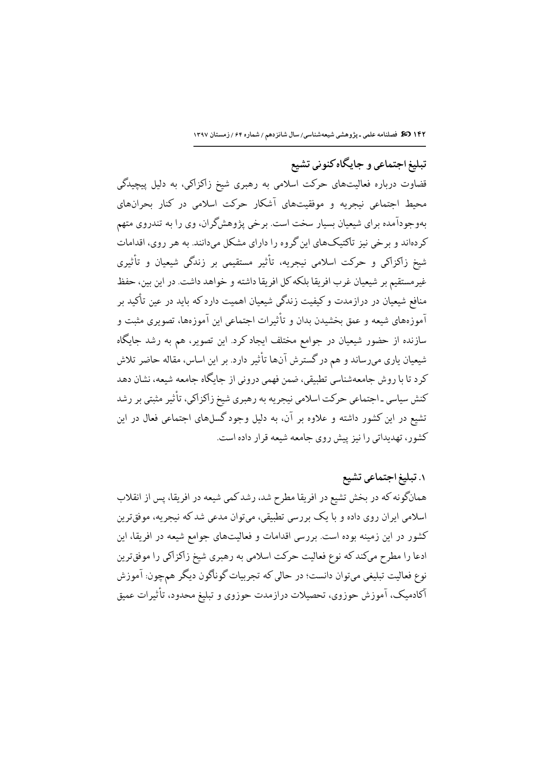تبلیغ اجتماعی و جایگاه کنونی تشیع

قضاوت درباره فعالیتهای حرکت اسلامی به رهبری شیخ زاکزاکی، به دلیل پیچیدگی محیط اجتماعی نیجریه و موفقیتهای آشکار حرکت اسلامی در کنار بحرانهای بهوجودآمده برای شیعیان بسیار سخت است. برخی پژوهشگران، وی را به تندروی متهم کردهاند و برخی نیز تاکتیکهای این گروه را دارای مشکل میدانند. به هر روی، اقدامات شیخ زاکزاکی و حرکت اسلامی نیجریه، تأثیر مستقیمی بر زندگی شیعیان و تأثیری غیرمستقیم بر شیعیان غرب افریقا بلکه کل افریقا داشته و خواهد داشت. در این بین، حفظ منافع شیعیان در درازمدت و کیفیت زندگی شیعیان اهمیت دارد که باید در عین تأکید بر آموزههای شیعه و عمق بخشیدن بدان و تأثیرات اجتماعی این آموزهها، تصویری مثبت و سازنده از حضور شیعیان در جوامع مختلف ایجاد کرد. این تصویر، هم به رشد جایگاه شیعیان یاری میرساند و هم در گسترش آنها تأثیر دارد. بر این اساس، مقاله حاضر تلاش کرد تا با روش جامعهشناسی تطبیقی، ضمن فهمی درونی از جایگاه جامعه شیعه، نشان دهد کنش سیاسی ـ اجتماعی حرکت اسلامی نیجریه به رهبری شیخ زاکزاکی، تأثیر مثبتی بر رشد تشیع در این کشور داشته و علاوه بر آن، به دلیل وجود گسلهای اجتماعی فعال در این کشور، تهدیداتی را نیز پیش روی حامعه شیعه قرار داده است.

١. تبليغ اجتماعي تشيع همانگونه که در بخش تشیع در افریقا مطرح شد، رشد کمی شیعه در افریقا، پس از انقلاب اسلامی ایران روی داده و با یک بررسی تطبیقی، میتوان مدعی شد که نیجریه، موفقترین کشور در این زمینه بوده است. بررسی اقدامات و فعالیتهای جوامع شیعه در افریقا، این ادعا را مطرح میکند که نوع فعالیت حرکت اسلامی به رهبری شیخ زاکزاکی را موفقترین نوع فعالیت تبلیغی میتوان دانست؛ در حالی که تجربیات گوناگون دیگر همچون: آموزش آكادميك، آموزش حوزوي، تحصيلات درازمدت حوزوي و تبليغ محدود، تأثيرات عميق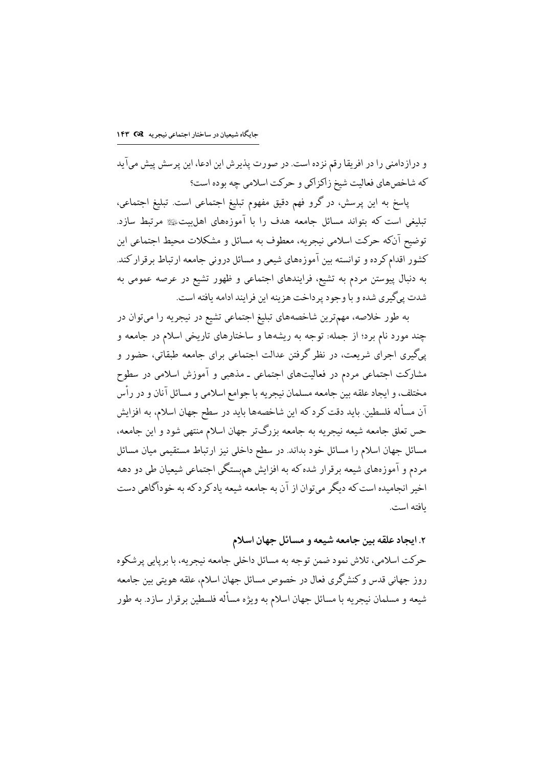و درازدامنی را در افریقا رقم نزده است. در صورت پذیرش این ادعا، این پرسش پیش میآید كه شاخصهاي فعاليت شيخ زاكزاكي و حركت اسلامي چه بوده است؟

پاسخ به این پرسش، در گرو فهم دقیق مفهوم تبلیغ اجتماعی است. تبلیغ اجتماعی، تبلیغی است که بتواند مسائل جامعه هدف را با آموزههای اهلبیتﷺ مرتبط سازد. توضیح آنکه حرکت اسلامی نیجریه، معطوف به مسائل و مشکلات محیط اجتماعی این کشور اقدام کرده و توانسته بین آموزههای شیعی و مسائل درونی جامعه ارتباط برقرار کند. به دنبال پیوستن مردم به تشیع، فرایندهای اجتماعی و ظهور تشیع در عرصه عمومی به شدت يي گيري شده و با وجود پر داخت هزينه اين فرايند ادامه يافته است.

به طور خلاصه، مهمترین شاخصههای تبلیغ اجتماعی تشیع در نیجریه را میتوان در چند مورد نام برد؛ از جمله: توجه به ریشهها و ساختارهای تاریخی اسلام در جامعه و پیگیری اجرای شریعت، در نظر گرفتن عدالت اجتماعی برای جامعه طبقاتی، حضور و مشارکت اجتماعی مردم در فعالیتهای اجتماعی ـ مذهبی و آموزش اسلامی در سطوح مختلف، و ايجاد علقه بين جامعه مسلمان نيجريه با جوامع اسلامي و مسائل آنان و در رأس آن مسأله فلسطین. باید دقت کرد که این شاخصهها باید در سطح جهان اسلام، به افزایش حس تعلق جامعه شیعه نیجریه به جامعه بزرگتر جهان اسلام منتهی شود و این جامعه، مسائل جهان اسلام را مسائل خود بداند. در سطح داخلی نیز ارتباط مستقیمی میان مسائل مردم و آموزههای شیعه برقرار شده که به افزایش هم.ستگی اجتماعی شیعیان طی دو دهه اخبر انجامیده است که دیگر می توان از آن به جامعه شیعه یاد کر د که به خودآگاهی دست ىافتە است.

۲. ایجاد علقه بین جامعه شیعه و مسائل جهان اسلام

حركت اسلامي، تلاش نمود ضمن توجه به مسائل داخلي جامعه نيجريه، با برپايي پرشكوه روز جهانی قدس و کنشگری فعال در خصوص مسائل جهان اسلام، علقه هویتی بین جامعه شیعه و مسلمان نیجریه با مسائل جهان اسلام به ویژه مسأله فلسطین برقرار سازد. به طور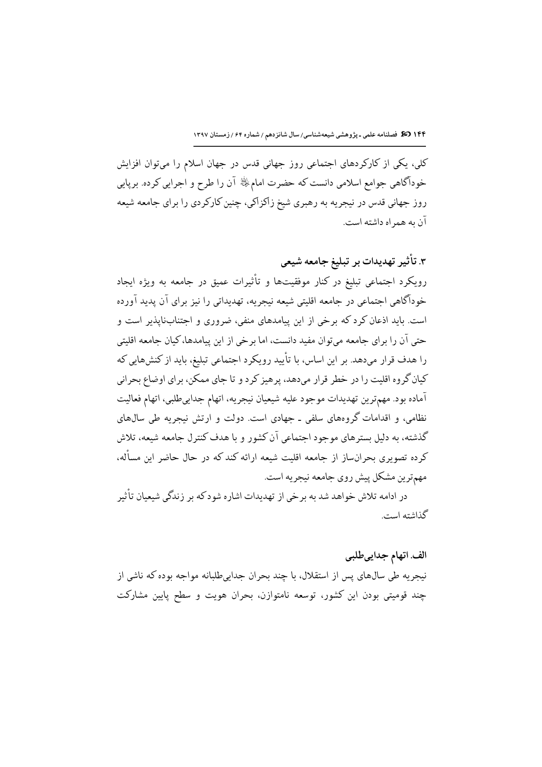کلی، یکی از کارکردهای اجتماعی روز جهانی قدس در جهان اسلام را میتوان افزایش خودآگاهي جوامع اسلامي دانست كه حضرت امامﷺ آن را طرح و اجرايي كرده. برپايي روز جهانی قدس در نیجریه به رهبری شیخ زاکزاکی، چنین کارکردی را برای جامعه شیعه آن به همر اه داشته است.

# ۳. تأثیر تهدیدات بر تبلیغ جامعه شیعی

رویکرد اجتماعی تبلیغ در کنار موفقیتها و تأثیرات عمیق در جامعه به ویژه ایجاد خودآگاهی اجتماعی در جامعه اقلیتی شیعه نیجریه، تهدیداتی را نیز برای آن پدید آورده است. باید اذعان کرد که برخی از این پیامدهای منفی، ضروری و اجتنابنایذیر است و حتی آن را برای جامعه می توان مفید دانست، اما برخی از این پیامدها، کیان جامعه اقلیتی را هدف قرار مىدهد. بر اين اساس، با تأييد رويكرد اجتماعي تبليغ، بايد از كنشهايي كه کیان گروه اقلیت را در خطر قرار میدهد، پرهیز کرد و تا جای ممکن، برای اوضاع بحرانی آماده بود. مهمترين تهديدات موجود عليه شيعيان نيجريه، اتهام جدايىطلبي، اتهام فعاليت نظامی، و اقدامات گروههای سلفی ـ جهادی است. دولت و ارتش نیجریه طی سال@ای گذشته، به دلیل بسترهای موجود احتماعی آن کشور و با هدف کنترل حامعه شیعه، تلاش کرده تصویری بحرانساز از جامعه اقلیت شیعه ارائه کند که در حال حاضر این مسأله، مهمترين مشكل پيش روي جامعه نيجريه است.

در ادامه تلاش خواهد شد به برخي از تهديدات اشاره شودكه بر زندگي شيعيان تأثير گذاشته است.

#### الف. اتهام جداییطلبی

نيجريه طي سال@اي پس از استقلال، با چند بحران جدايىطلبانه مواجه بوده كه ناشى از چند قومیتی بودن این کشور، توسعه نامتوازن، بحران هویت و سطح پایین مشارکت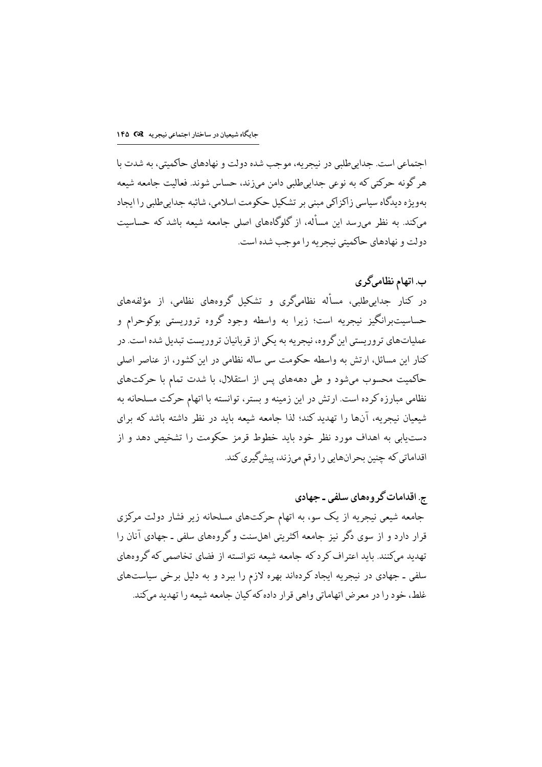اجتماعی است. جداییطلبی در نبجریه، موجب شده دولت و نهادهای حاکمیتی، به شدت با هر گونه حرکتی که به نوعی جداییطلبی دامن میزند، حساس شوند. فعالیت جامعه شیعه بهویژه دیدگاه سیاسی زاکزاکی مبنی بر تشکیل حکومت اسلامی، شائبه جدابی طلبی را ایجاد میکند. به نظر می رسد این مسأله، از گلوگاههای اصلی جامعه شیعه باشد که حساسیت دولت و نهادهاي حاكميتي نيجريه را موجب شده است.

ب. اتهام نظامیگری در کنار حدامیطلبی، مسأله نظامیگری و تشکیل گروههای نظامی، از مؤلفههای حساسیتبرانگیز نیجریه است؛ زیرا به واسطه وجود گروه تروریستی بوکوحرام و عملیاتهای تروریستی این گروه، نیجریه به یکی از قربانیان تروریست تبدیل شده است. در کنار این مسائل، ارتش به واسطه حکومت سی ساله نظامی در این کشور، از عناصر اصلی حاکمیت محسوب میشود و طی دهههای پس از استقلال، با شدت تمام با حرکتهای نظامی مبارزه کرده است. ارتش در این زمینه و بستر، توانسته با اتهام حرکت مسلحانه به شیعیان نیجریه، آنها را تهدید کند؛ لذا جامعه شیعه باید در نظر داشته باشد که برای دست بابی به اهداف مورد نظر خود باید خطوط قرمز حکومت را تشخیص دهد و از اقداماتي كه چنين بحرانهايي را رقم ميزند، پيشگيري كند.

ج. اقدامات گر و مھای سلفی ۔ جھادی جامعه شیعی نیجریه از یک سو، به اتهام حرکتهای مسلحانه زیر فشار دولت مرکزی قرار دارد و از سوی دگر نیز جامعه اکثریتی اهلسنت و گروههای سلفی ـ جهادی آنان را تهدید میکنند. باید اعتراف کرد که حامعه شیعه نتوانسته از فضای تخاصمی که گروههای سلفی ـ جهادی در نیجریه ایجاد کردهاند بهره لازم را ببرد و به دلیل برخی سیاستهای غلط، خود را در معرض اتهاماتی واهی قرار داده که کیان حامعه شیعه را تهدید میکند.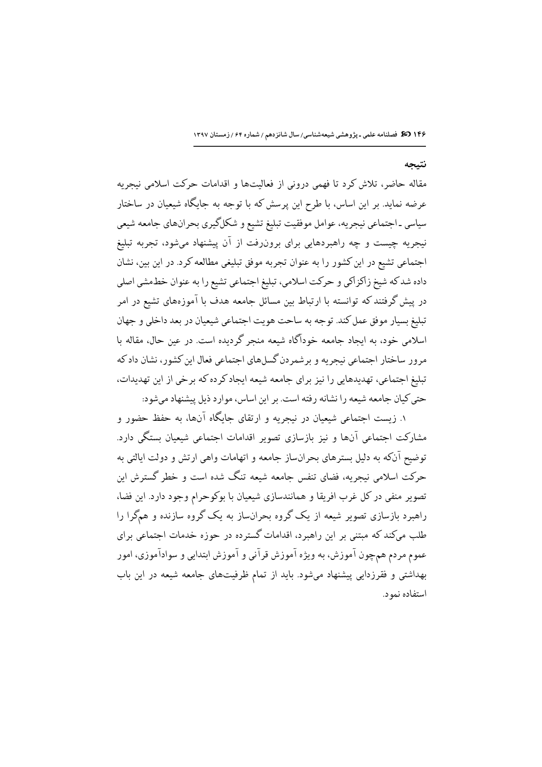١۴۶ 30 فصلنامه علمی ـ پژوهشی شیعهشناسی/ سال شانزدهم / شماره ۶۴ / زمستان ١٣٩٧

#### نتيجه

مقاله حاضر، تلاش کرد تا فهمی درونی از فعالیتها و اقدامات حرکت اسلامی نیجریه عرضه نماید. بر این اساس، با طرح این پرسش که با توجه به جایگاه شیعیان در ساختار سیاسی ـ اجتماعی نیجریه، عوامل موفقیت تبلیغ تشیع و شکلگیری بحرانهای جامعه شیعی نیجریه چیست و چه راهبردهایی برای برونرفت از آن پیشنهاد میشود، تجربه تبلیغ اجتماعی تشیع در این کشور را به عنوان تجربه موفق تبلیغی مطالعه کرد. در این بین، نشان داده شدكه شيخ زاكزاكي و حركت اسلامي، تبليغ اجتماعي تشيع را به عنوان خط مشي اصلي در پیش گرفتند که توانسته با ارتباط بین مسائل جامعه هدف با آموزههای تشیع در امر تبليغ بسيار موفق عمل كند. توجه به ساحت هويت اجتماعي شيعيان در بعد داخلي و جهان اسلامی خود، به ایجاد جامعه خودآگاه شیعه منجر گردیده است. در عین حال، مقاله با مرور ساختار اجتماعي نيجريه و برشمردن گسلهاي اجتماعي فعال اين كشور، نشان داد كه تبلیغ اجتماعی، تهدیدهایی را نیز برای جامعه شیعه ایجاد کرده که برخی از این تهدیدات، حتى كيان جامعه شيعه را نشانه رفته است. بر اين اساس، موارد ذيل پيشنهاد مي شود:

۱. زیست اجتماعی شیعیان در نیجریه و ارتقای جایگاه آنها، به حفظ حضور و مشارکت احتماعی آنها و نیز پازسازی تصویر اقدامات احتماعی شیعیان بستگی دارد. توضیح آنکه به دلیل بسترهای بحرانساز جامعه و اتهامات واهی ارتش و دولت ایالتی به حرکت اسلامی نیجریه، فضای تنفس جامعه شیعه تنگ شده است و خطر گسترش این تصوير منفي در كل غرب افريقا و همانندسازي شيعيان با بوكوحرام وجود دارد. اين فضا، راهبرد بازسازی تصویر شیعه از یک گروه بحرانساز به یک گروه سازنده و همگرا را .<br>طلب میکند که مبتنی بر این راهبرد، اقدامات گسترده در حوزه خدمات اجتماعی برای عموم مردم همچون آموزش، به ویژه آموزش قرآنی و آموزش ابتدایی و سوادآموزی، امور بهداشتی و فقرزدایی پیشنهاد میشود. باید از تمام ظرفیتهای جامعه شیعه در این باب استفاده نمه د.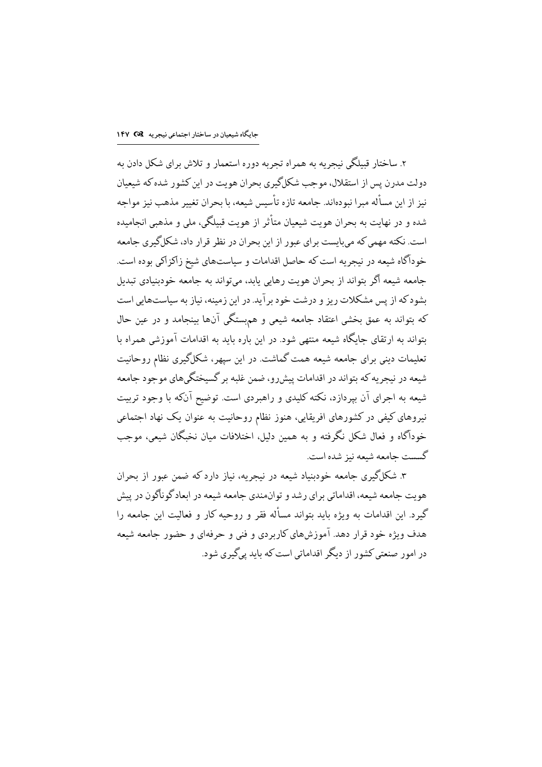۲. ساختار قبیلگی نیجریه به همراه تجربه دوره استعمار و تلاش برای شکل دادن به دولت مدرن پس از استقلال، موحب شکلگیری بحران هویت در این کشور شده که شیعیان نيز از اين مسأله ميرا نبودهاند. جامعه تازه تأسيس شيعه، با بحران تغيير مذهب نيز مواجه شده و در نهایت به بحران هویت شیعیان متأثر از هویت قبیلگی، ملی و مذهبی انجامیده است. نکته مهمی که میبایست برای عبور از این بحران در نظر قرار داد، شکلگیری جامعه خودآگاه شیعه در نیجریه است که حاصل اقدامات و سیاستهای شیخ زاکزاکی بوده است. جامعه شیعه اگر بتواند از بحران هویت رهابی پابد، می تواند به جامعه خودبنیادی تبدیل بشود که از پس مشکلات ریز و درشت خود بر آید. در این زمینه، نیاز به سیاستهایی است که بتواند به عمق بخشی اعتقاد جامعه شیعی و هم ستگی آنها بینجامد و در عین حال بتواند به ارتقای جایگاه شیعه منتهی شود. در این باره باید به اقدامات آموزشی همراه با تعلیمات دینی برای جامعه شیعه همت گماشت. در این سیهر، شکل گیری نظام روحانیت .<br>شیعه در نیجریه که بتواند در اقدامات پیشررو، ضمن غلبه بر گسیختگیهای موجود جامعه شیعه به اجرای آن بیردازد، نکته کلیدی و راهبردی است. توضیح آنکه با وجود تربیت نیروهای کیفی در کشورهای افریقایی، هنوز نظام روحانیت به عنوان یک نهاد اجتماعی خودآگاه و فعال شکل نگرفته و به همین دلیل، اختلافات میان نخبگان شیعی، موجب گسست حامعه شىعه نىز شده است.

۳. شکلگیری جامعه خودبنیاد شیعه در نیجریه، نیاز دارد که ضمن عبور از بحران هويت حامعه شيعه، اقداماتي بر اي رشد و توان،مندي حامعه شيعه در ايعاد گوناگون در پيش گیرد. این اقدامات به ویژه باید بتواند مسأله فقر و روحیه کار و فعالیت این جامعه را هدف و بژه خود قرار دهد. آموزشهای کار بر دی و فنی و حرفهای و حضور حامعه شیعه در امور صنعتی کشور از دیگر اقداماتی است که باید پی گیری شود.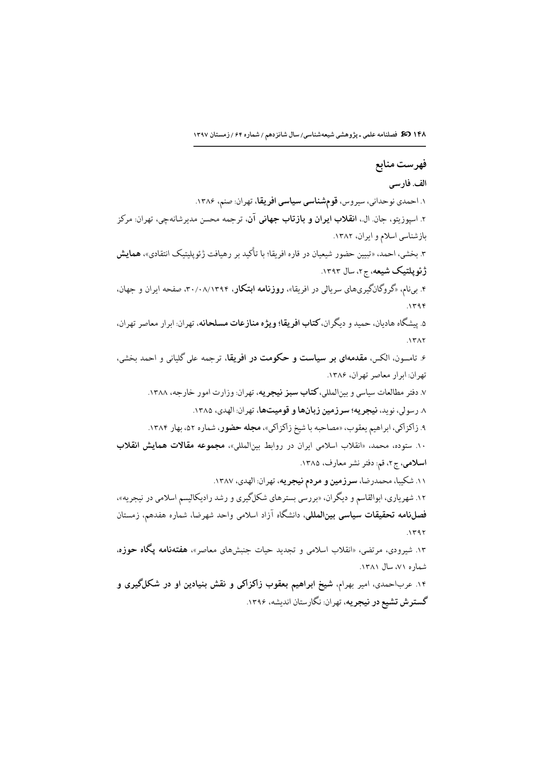١۴٨ 35 فصلنامه علمى ـ پژوهشى شيعه شناسى/ سال شانزدهم / شماره ۶۴ / زمستان ١٣٩٧

# فهرست منابع

### الف. فارسى

۱. احمدی نوحدانی، سیروس، **قومشناسی سیاسی افریقا**، تهران: صنم، ۱۳۸۶. ۲. اسپوزیتو، جان ال.، ا**نقلاب ایران و بازتاب جهانی آن**، ترجمه محسن مدیرشانهچی، تهران<sub>:</sub> مرکز بازشناسی اسلام و ایران، ١٣٨٢. ۳. بخشی، احمد، «تبیین حضور شیعیان در قاره افریقا؛ با تأکید بر رهیافت ژئوپلیتیک انتقادی»، **همایش** ژئويلتيک شيعه، ج٢، سال ١٣٩٣. ۴. برنام، «گروگانگیریهای سریالی در افریقا»، **روزنامه ابتکار**، ۳۰/۰۸/۱۳۹۴، صفحه ایران و جهان،  $1598$ ۵. پیشگاه هادیان، حمید و دیگران، **کتاب افریقا؛ ویژه منازعات مسلحانه**، تهران: ابرار معاصر تهران،  $.1577$ ۶. تامسون، الکس، **مقدمهای بر سیاست و حکومت در افریقا**، ترجمه علی گلیانی و احمد بخشی، تهران ابرار معاصر تهران، ۱۳۸۶. ۷. دفتر مطالعات سیاسی و بینالمللی، **کتاب سبز نیجریه**، تهران: وزارت امور خارجه، ۱۳۸۸. ٨. رسولي، نويد، نيجريه؛ سرزمين زبانها و قوميتها، تهران: الهدي، ١٣٨۵. ۹. زاکزاکی، ابراهیم یعقوب، «مصاحبه با شیخ زاکزاکی»، **مجله حضور**، شماره ۵۲، بهار ۱۳۸۴. ١٠. ستوده، محمد، «انقلاب اسلامي ايران در روابط بين المللي»، مجموعه مقالات همايش انقلاب اسلامی، ج۲، قم: دفتر نشر معارف، ۱۳۸۵. ۱۱. شکیبا، محمدرضا، **سرزمین و مردم نیجریه**، تهران<sub>:</sub> الهدی، ۱۳۸۷. ۱۲. شهریاری، ابوالقاسم و دیگران، «بررسی بسترهای شکلگیری و رشد رادیکالیسم اسلامی در نیجریه»، فصل**نامه تحقیقات سیاسی بینالملل**ی، دانشگاه آزاد اسلامی واحد شهرضا، شماره هفدهم، زمستان  $.1191$ ۱۳. شیرودی، مرتضی، «انقلاب اسلامی و تجدید حیات جنبشهای معاصر»، **هفتهنامه پگاه حوزه**، شماره ۷۱، سال ۱۳۸۱.

۱۴. عرباحمدی، امیر بهرام، شیخ ابراهیم بعقوب زاکزاکی و نقش بنیادین او در شکلگیری و گسترش تشیع در نیجریه، تهران: نگارستان اندیشه، ۱۳۹۶.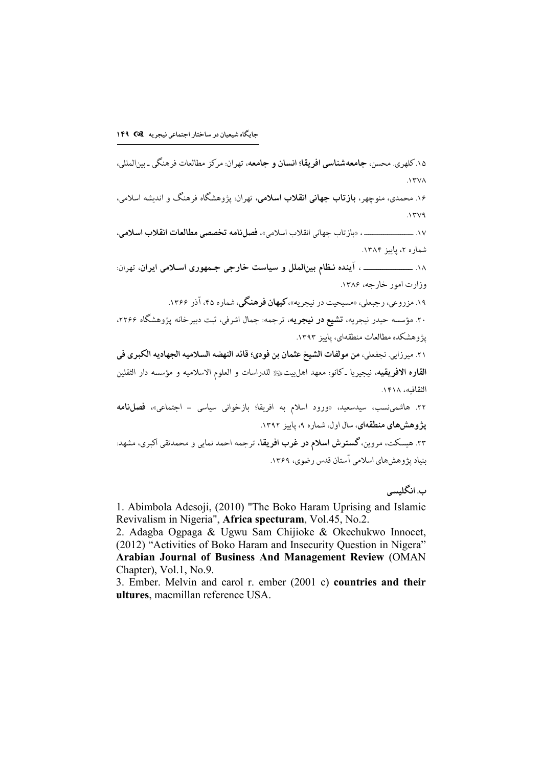۱۵. كلهري. محسن، **جامعهشناسي افريقا؛ انسان و جامعه**، تهران: مركز مطالعات فرهنگي ـ بينالمللي،  $\Lambda$ ۳۷۸ ۱۶. محمدی، منوچهر، **بازتاب جهانی انقلاب اسلامی**، تهران<sub>:</sub> یژوهشگاه فرهنگ و اندیشه اسلامی،  $.1719$ شماره ۲، پاییز ۱۳۸۴. وزارت امور خارجه، ۱۳۸۶. ۱۹. مزروعی، رجبعلی، «مسیحیت در نیجریه»، **کیهان فرهنگی**، شماره ۴۵، آذر ۱۳۶۶. ۲۰. مؤسسه حبدر نبحریه، **تشیع در نیجریه**، ترجمه: جمال اشرفی، ثبت دبیرخانه پژوهشگاه ۲۲۶۶، يژوهشكده مطالعات منطقهاي، يابيز ١٣٩٣. ٢١. ميرزايي. نجفعلي، من مولفات الشيخ عثمان بن فودي؛ قائد النهضه السلاميه الجهاديه الكبرى في ا**لقاره الافريقيه**، نيجيريا ـ كانو: معهد اهلبيتﷺ للدراسات و العلوم الاسلاميه و مؤسسه دار الثقلين الثقافيه، ١۴١٨. ۲۲. هاشمی:سب، سیدسعید، «ورود اسلام به افریقا؛ بازخوانی سیاسی – اجتماعی»، فصل<mark>نامه</mark> **یژ و هش های منطقهای**، سال اول، شمار ه ۹، پاییز ۱۳۹۲. ۲۳. هیسکت، مروین، **گسترش اسلام در غرب افریقا**، ترجمه احمد نمایی و محمدتقی اکبری، مشهد: بنیاد پژوهشهای اسلامی آستان قدس رضوی، ۱۳۶۹.

ب. انگلىسى

1. Abimbola Adesoji, (2010) "The Boko Haram Uprising and Islamic Revivalism in Nigeria", Africa specturam, Vol.45, No.2.

2. Adagba Ogpaga & Ugwu Sam Chijioke & Okechukwo Innocet, (2012) "Activities of Boko Haram and Insecurity Question in Nigera" Arabian Journal of Business And Management Review (OMAN Chapter), Vol.1, No.9.

3. Ember. Melvin and carol r. ember (2001 c) countries and their ultures, macmillan reference USA.